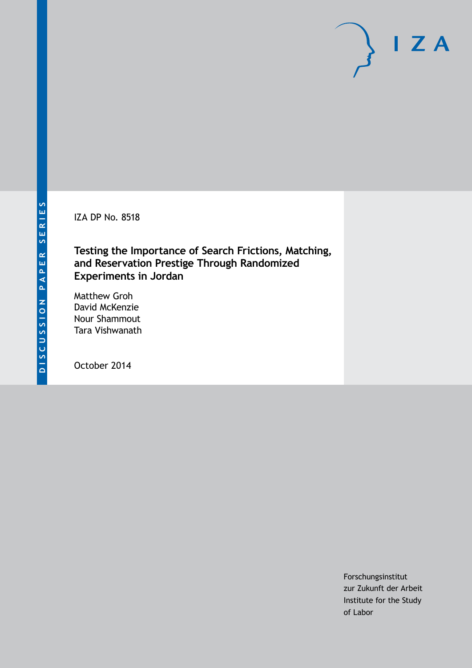IZA DP No. 8518

**Testing the Importance of Search Frictions, Matching, and Reservation Prestige Through Randomized Experiments in Jordan**

Matthew Groh David McKenzie Nour Shammout Tara Vishwanath

October 2014

Forschungsinstitut zur Zukunft der Arbeit Institute for the Study of Labor

 $I Z A$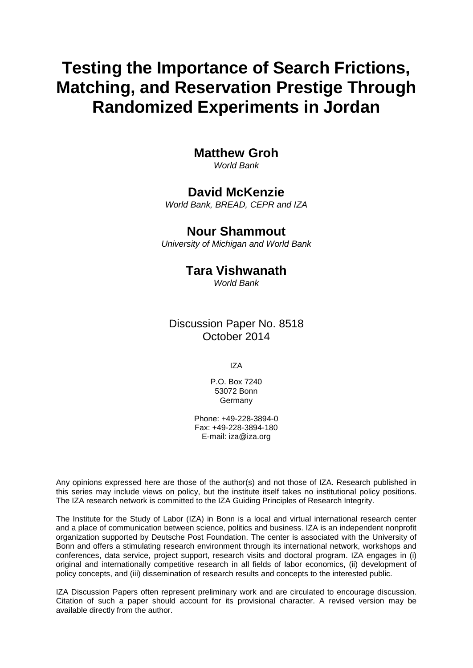# **Testing the Importance of Search Frictions, Matching, and Reservation Prestige Through Randomized Experiments in Jordan**

# **Matthew Groh**

*World Bank*

## **David McKenzie**

*World Bank, BREAD, CEPR and IZA*

## **Nour Shammout**

*University of Michigan and World Bank*

# **Tara Vishwanath**

*World Bank*

Discussion Paper No. 8518 October 2014

IZA

P.O. Box 7240 53072 Bonn Germany

Phone: +49-228-3894-0 Fax: +49-228-3894-180 E-mail: [iza@iza.org](mailto:iza@iza.org)

Any opinions expressed here are those of the author(s) and not those of IZA. Research published in this series may include views on policy, but the institute itself takes no institutional policy positions. The IZA research network is committed to the IZA Guiding Principles of Research Integrity.

The Institute for the Study of Labor (IZA) in Bonn is a local and virtual international research center and a place of communication between science, politics and business. IZA is an independent nonprofit organization supported by Deutsche Post Foundation. The center is associated with the University of Bonn and offers a stimulating research environment through its international network, workshops and conferences, data service, project support, research visits and doctoral program. IZA engages in (i) original and internationally competitive research in all fields of labor economics, (ii) development of policy concepts, and (iii) dissemination of research results and concepts to the interested public.

<span id="page-1-0"></span>IZA Discussion Papers often represent preliminary work and are circulated to encourage discussion. Citation of such a paper should account for its provisional character. A revised version may be available directly from the author.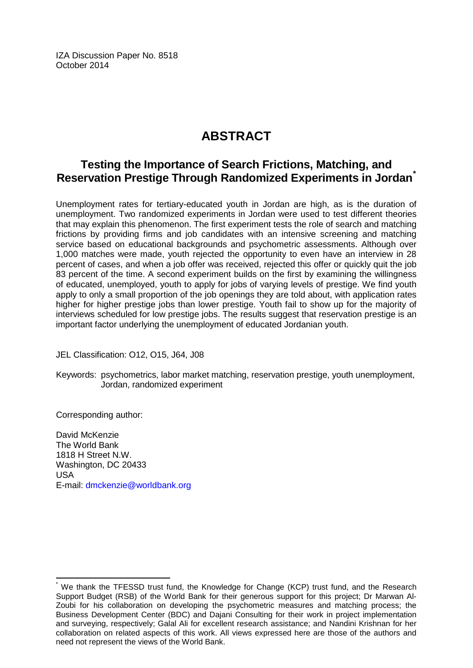IZA Discussion Paper No. 8518 October 2014

# **ABSTRACT**

# **Testing the Importance of Search Frictions, Matching, and Reservation Prestige Through Randomized Experiments in Jordan[\\*](#page-1-0)**

Unemployment rates for tertiary-educated youth in Jordan are high, as is the duration of unemployment. Two randomized experiments in Jordan were used to test different theories that may explain this phenomenon. The first experiment tests the role of search and matching frictions by providing firms and job candidates with an intensive screening and matching service based on educational backgrounds and psychometric assessments. Although over 1,000 matches were made, youth rejected the opportunity to even have an interview in 28 percent of cases, and when a job offer was received, rejected this offer or quickly quit the job 83 percent of the time. A second experiment builds on the first by examining the willingness of educated, unemployed, youth to apply for jobs of varying levels of prestige. We find youth apply to only a small proportion of the job openings they are told about, with application rates higher for higher prestige jobs than lower prestige. Youth fail to show up for the majority of interviews scheduled for low prestige jobs. The results suggest that reservation prestige is an important factor underlying the unemployment of educated Jordanian youth.

JEL Classification: O12, O15, J64, J08

Keywords: psychometrics, labor market matching, reservation prestige, youth unemployment, Jordan, randomized experiment

Corresponding author:

David McKenzie The World Bank 1818 H Street N.W. Washington, DC 20433 USA E-mail: [dmckenzie@worldbank.org](mailto:dmckenzie@worldbank.org)

We thank the TFESSD trust fund, the Knowledge for Change (KCP) trust fund, and the Research Support Budget (RSB) of the World Bank for their generous support for this project; Dr Marwan Al-Zoubi for his collaboration on developing the psychometric measures and matching process; the Business Development Center (BDC) and Dajani Consulting for their work in project implementation and surveying, respectively; Galal Ali for excellent research assistance; and Nandini Krishnan for her collaboration on related aspects of this work. All views expressed here are those of the authors and need not represent the views of the World Bank.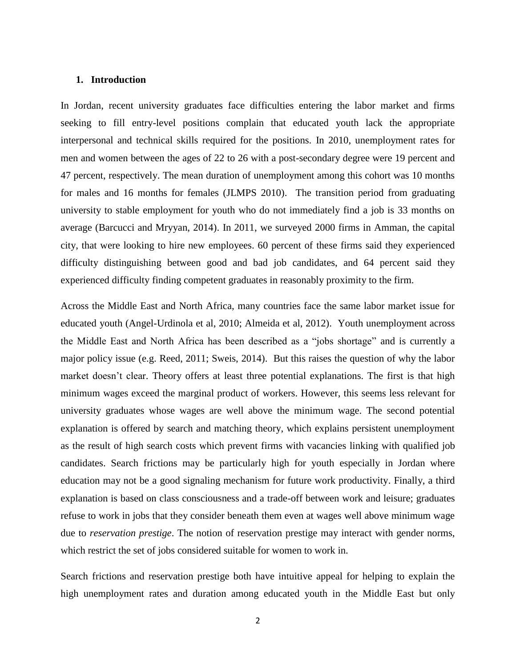#### **1. Introduction**

In Jordan, recent university graduates face difficulties entering the labor market and firms seeking to fill entry-level positions complain that educated youth lack the appropriate interpersonal and technical skills required for the positions. In 2010, unemployment rates for men and women between the ages of 22 to 26 with a post-secondary degree were 19 percent and 47 percent, respectively. The mean duration of unemployment among this cohort was 10 months for males and 16 months for females (JLMPS 2010). The transition period from graduating university to stable employment for youth who do not immediately find a job is 33 months on average (Barcucci and Mryyan, 2014). In 2011, we surveyed 2000 firms in Amman, the capital city, that were looking to hire new employees. 60 percent of these firms said they experienced difficulty distinguishing between good and bad job candidates, and 64 percent said they experienced difficulty finding competent graduates in reasonably proximity to the firm.

Across the Middle East and North Africa, many countries face the same labor market issue for educated youth (Angel-Urdinola et al, 2010; Almeida et al, 2012). Youth unemployment across the Middle East and North Africa has been described as a "jobs shortage" and is currently a major policy issue (e.g. Reed, 2011; Sweis, 2014). But this raises the question of why the labor market doesn't clear. Theory offers at least three potential explanations. The first is that high minimum wages exceed the marginal product of workers. However, this seems less relevant for university graduates whose wages are well above the minimum wage. The second potential explanation is offered by search and matching theory, which explains persistent unemployment as the result of high search costs which prevent firms with vacancies linking with qualified job candidates. Search frictions may be particularly high for youth especially in Jordan where education may not be a good signaling mechanism for future work productivity. Finally, a third explanation is based on class consciousness and a trade-off between work and leisure; graduates refuse to work in jobs that they consider beneath them even at wages well above minimum wage due to *reservation prestige*. The notion of reservation prestige may interact with gender norms, which restrict the set of jobs considered suitable for women to work in.

Search frictions and reservation prestige both have intuitive appeal for helping to explain the high unemployment rates and duration among educated youth in the Middle East but only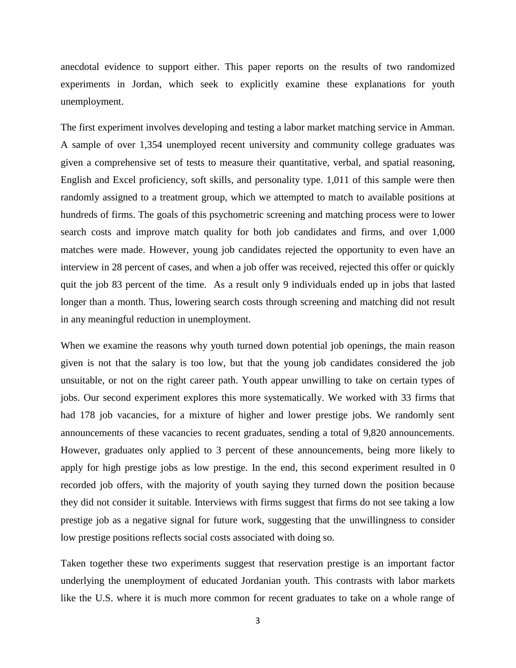anecdotal evidence to support either. This paper reports on the results of two randomized experiments in Jordan, which seek to explicitly examine these explanations for youth unemployment.

The first experiment involves developing and testing a labor market matching service in Amman. A sample of over 1,354 unemployed recent university and community college graduates was given a comprehensive set of tests to measure their quantitative, verbal, and spatial reasoning, English and Excel proficiency, soft skills, and personality type. 1,011 of this sample were then randomly assigned to a treatment group, which we attempted to match to available positions at hundreds of firms. The goals of this psychometric screening and matching process were to lower search costs and improve match quality for both job candidates and firms, and over 1,000 matches were made. However, young job candidates rejected the opportunity to even have an interview in 28 percent of cases, and when a job offer was received, rejected this offer or quickly quit the job 83 percent of the time. As a result only 9 individuals ended up in jobs that lasted longer than a month. Thus, lowering search costs through screening and matching did not result in any meaningful reduction in unemployment.

When we examine the reasons why youth turned down potential job openings, the main reason given is not that the salary is too low, but that the young job candidates considered the job unsuitable, or not on the right career path. Youth appear unwilling to take on certain types of jobs. Our second experiment explores this more systematically. We worked with 33 firms that had 178 job vacancies, for a mixture of higher and lower prestige jobs. We randomly sent announcements of these vacancies to recent graduates, sending a total of 9,820 announcements. However, graduates only applied to 3 percent of these announcements, being more likely to apply for high prestige jobs as low prestige. In the end, this second experiment resulted in 0 recorded job offers, with the majority of youth saying they turned down the position because they did not consider it suitable. Interviews with firms suggest that firms do not see taking a low prestige job as a negative signal for future work, suggesting that the unwillingness to consider low prestige positions reflects social costs associated with doing so.

Taken together these two experiments suggest that reservation prestige is an important factor underlying the unemployment of educated Jordanian youth. This contrasts with labor markets like the U.S. where it is much more common for recent graduates to take on a whole range of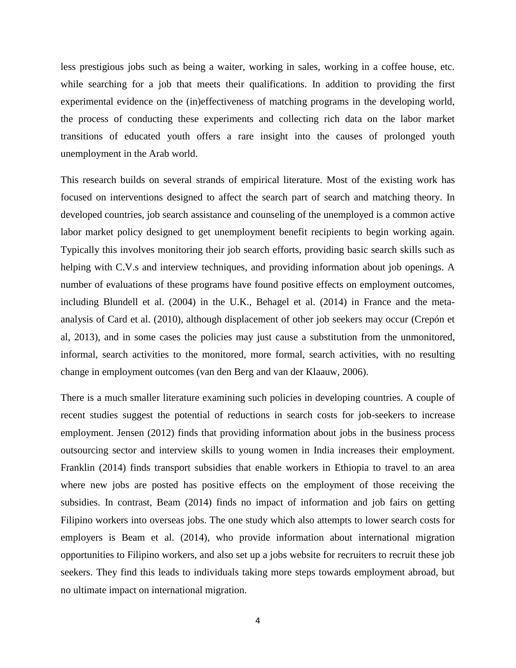less prestigious jobs such as being a waiter, working in sales, working in a coffee house, etc. while searching for a job that meets their qualifications. In addition to providing the first experimental evidence on the (in)effectiveness of matching programs in the developing world, the process of conducting these experiments and collecting rich data on the labor market transitions of educated youth offers a rare insight into the causes of prolonged youth unemployment in the Arab world.

This research builds on several strands of empirical literature. Most of the existing work has focused on interventions designed to affect the search part of search and matching theory. In developed countries, job search assistance and counseling of the unemployed is a common active labor market policy designed to get unemployment benefit recipients to begin working again. Typically this involves monitoring their job search efforts, providing basic search skills such as helping with C.V.s and interview techniques, and providing information about job openings. A number of evaluations of these programs have found positive effects on employment outcomes, including Blundell et al. (2004) in the U.K., Behagel et al. (2014) in France and the metaanalysis of Card et al. (2010), although displacement of other job seekers may occur (Crepón et al, 2013), and in some cases the policies may just cause a substitution from the unmonitored, informal, search activities to the monitored, more formal, search activities, with no resulting change in employment outcomes (van den Berg and van der Klaauw, 2006).

There is a much smaller literature examining such policies in developing countries. A couple of recent studies suggest the potential of reductions in search costs for job-seekers to increase employment. Jensen (2012) finds that providing information about jobs in the business process outsourcing sector and interview skills to young women in India increases their employment. Franklin (2014) finds transport subsidies that enable workers in Ethiopia to travel to an area where new jobs are posted has positive effects on the employment of those receiving the subsidies. In contrast, Beam (2014) finds no impact of information and job fairs on getting Filipino workers into overseas jobs. The one study which also attempts to lower search costs for employers is Beam et al. (2014), who provide information about international migration opportunities to Filipino workers, and also set up a jobs website for recruiters to recruit these job seekers. They find this leads to individuals taking more steps towards employment abroad, but no ultimate impact on international migration.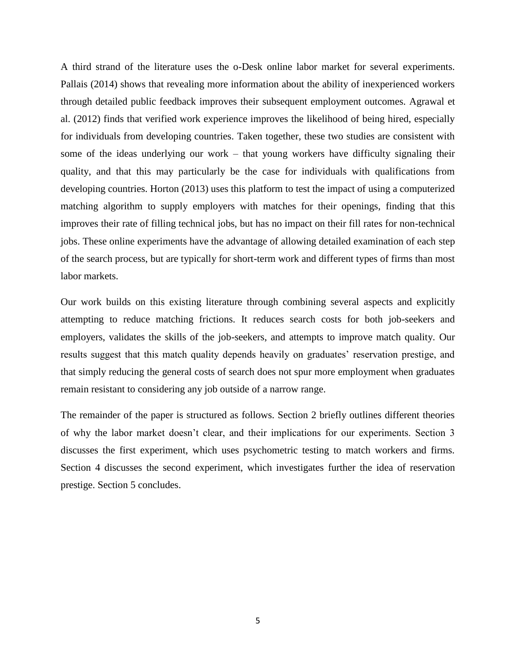A third strand of the literature uses the o-Desk online labor market for several experiments. Pallais (2014) shows that revealing more information about the ability of inexperienced workers through detailed public feedback improves their subsequent employment outcomes. Agrawal et al. (2012) finds that verified work experience improves the likelihood of being hired, especially for individuals from developing countries. Taken together, these two studies are consistent with some of the ideas underlying our work – that young workers have difficulty signaling their quality, and that this may particularly be the case for individuals with qualifications from developing countries. Horton (2013) uses this platform to test the impact of using a computerized matching algorithm to supply employers with matches for their openings, finding that this improves their rate of filling technical jobs, but has no impact on their fill rates for non-technical jobs. These online experiments have the advantage of allowing detailed examination of each step of the search process, but are typically for short-term work and different types of firms than most labor markets.

Our work builds on this existing literature through combining several aspects and explicitly attempting to reduce matching frictions. It reduces search costs for both job-seekers and employers, validates the skills of the job-seekers, and attempts to improve match quality. Our results suggest that this match quality depends heavily on graduates' reservation prestige, and that simply reducing the general costs of search does not spur more employment when graduates remain resistant to considering any job outside of a narrow range.

The remainder of the paper is structured as follows. Section 2 briefly outlines different theories of why the labor market doesn't clear, and their implications for our experiments. Section 3 discusses the first experiment, which uses psychometric testing to match workers and firms. Section 4 discusses the second experiment, which investigates further the idea of reservation prestige. Section 5 concludes.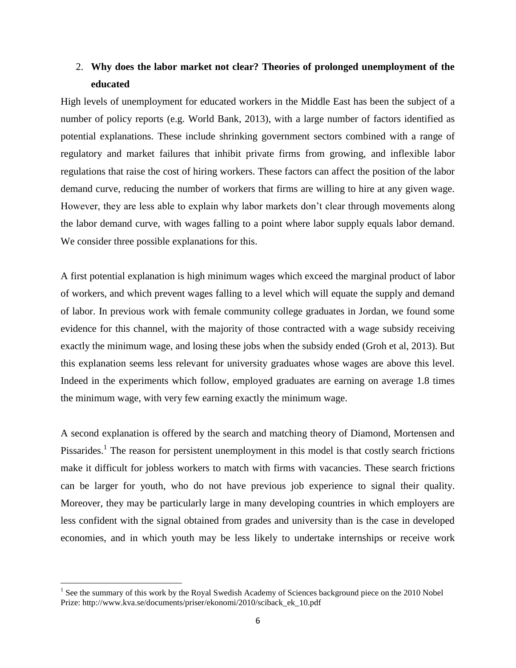## 2. **Why does the labor market not clear? Theories of prolonged unemployment of the educated**

High levels of unemployment for educated workers in the Middle East has been the subject of a number of policy reports (e.g. World Bank, 2013), with a large number of factors identified as potential explanations. These include shrinking government sectors combined with a range of regulatory and market failures that inhibit private firms from growing, and inflexible labor regulations that raise the cost of hiring workers. These factors can affect the position of the labor demand curve, reducing the number of workers that firms are willing to hire at any given wage. However, they are less able to explain why labor markets don't clear through movements along the labor demand curve, with wages falling to a point where labor supply equals labor demand. We consider three possible explanations for this.

A first potential explanation is high minimum wages which exceed the marginal product of labor of workers, and which prevent wages falling to a level which will equate the supply and demand of labor. In previous work with female community college graduates in Jordan, we found some evidence for this channel, with the majority of those contracted with a wage subsidy receiving exactly the minimum wage, and losing these jobs when the subsidy ended (Groh et al, 2013). But this explanation seems less relevant for university graduates whose wages are above this level. Indeed in the experiments which follow, employed graduates are earning on average 1.8 times the minimum wage, with very few earning exactly the minimum wage.

A second explanation is offered by the search and matching theory of Diamond, Mortensen and Pissarides.<sup>1</sup> The reason for persistent unemployment in this model is that costly search frictions make it difficult for jobless workers to match with firms with vacancies. These search frictions can be larger for youth, who do not have previous job experience to signal their quality. Moreover, they may be particularly large in many developing countries in which employers are less confident with the signal obtained from grades and university than is the case in developed economies, and in which youth may be less likely to undertake internships or receive work

 $\overline{\phantom{a}}$ 

<sup>&</sup>lt;sup>1</sup> See the summary of this work by the Royal Swedish Academy of Sciences background piece on the 2010 Nobel Prize: http://www.kva.se/documents/priser/ekonomi/2010/sciback\_ek\_10.pdf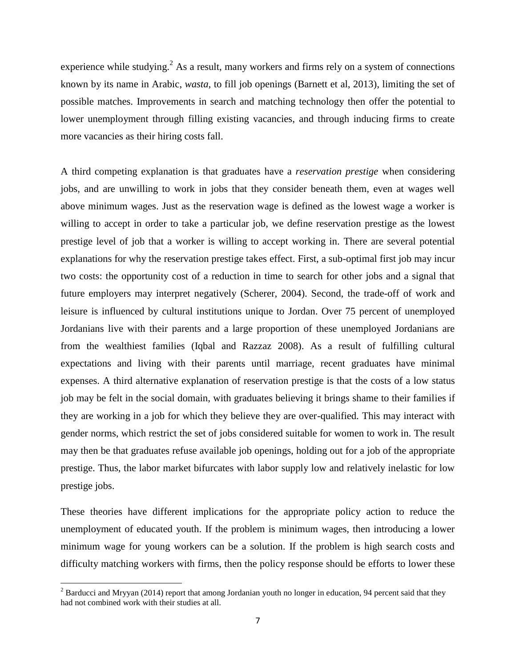experience while studying.<sup>2</sup> As a result, many workers and firms rely on a system of connections known by its name in Arabic, *wasta,* to fill job openings (Barnett et al, 2013), limiting the set of possible matches. Improvements in search and matching technology then offer the potential to lower unemployment through filling existing vacancies, and through inducing firms to create more vacancies as their hiring costs fall.

A third competing explanation is that graduates have a *reservation prestige* when considering jobs, and are unwilling to work in jobs that they consider beneath them, even at wages well above minimum wages. Just as the reservation wage is defined as the lowest wage a worker is willing to accept in order to take a particular job, we define reservation prestige as the lowest prestige level of job that a worker is willing to accept working in. There are several potential explanations for why the reservation prestige takes effect. First, a sub-optimal first job may incur two costs: the opportunity cost of a reduction in time to search for other jobs and a signal that future employers may interpret negatively (Scherer, 2004). Second, the trade-off of work and leisure is influenced by cultural institutions unique to Jordan. Over 75 percent of unemployed Jordanians live with their parents and a large proportion of these unemployed Jordanians are from the wealthiest families (Iqbal and Razzaz 2008). As a result of fulfilling cultural expectations and living with their parents until marriage, recent graduates have minimal expenses. A third alternative explanation of reservation prestige is that the costs of a low status job may be felt in the social domain, with graduates believing it brings shame to their families if they are working in a job for which they believe they are over-qualified. This may interact with gender norms, which restrict the set of jobs considered suitable for women to work in. The result may then be that graduates refuse available job openings, holding out for a job of the appropriate prestige. Thus, the labor market bifurcates with labor supply low and relatively inelastic for low prestige jobs.

These theories have different implications for the appropriate policy action to reduce the unemployment of educated youth. If the problem is minimum wages, then introducing a lower minimum wage for young workers can be a solution. If the problem is high search costs and difficulty matching workers with firms, then the policy response should be efforts to lower these

 $\overline{\phantom{a}}$ 

 $2^2$  Barducci and Mryyan (2014) report that among Jordanian youth no longer in education, 94 percent said that they had not combined work with their studies at all.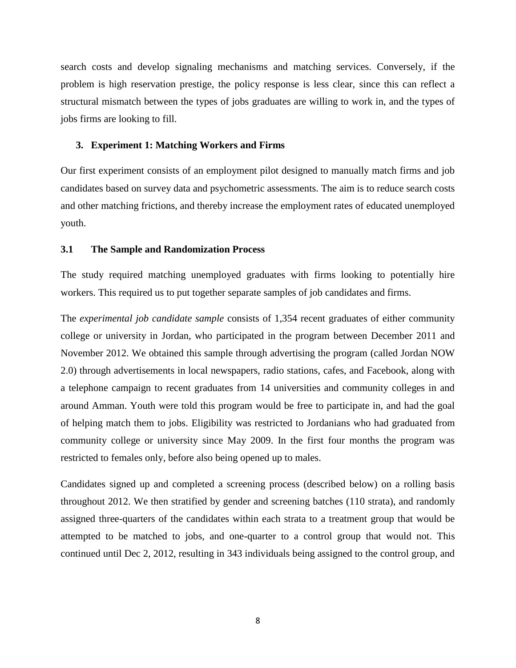search costs and develop signaling mechanisms and matching services. Conversely, if the problem is high reservation prestige, the policy response is less clear, since this can reflect a structural mismatch between the types of jobs graduates are willing to work in, and the types of jobs firms are looking to fill.

### **3. Experiment 1: Matching Workers and Firms**

Our first experiment consists of an employment pilot designed to manually match firms and job candidates based on survey data and psychometric assessments. The aim is to reduce search costs and other matching frictions, and thereby increase the employment rates of educated unemployed youth.

#### **3.1 The Sample and Randomization Process**

The study required matching unemployed graduates with firms looking to potentially hire workers. This required us to put together separate samples of job candidates and firms.

The *experimental job candidate sample* consists of 1,354 recent graduates of either community college or university in Jordan, who participated in the program between December 2011 and November 2012. We obtained this sample through advertising the program (called Jordan NOW 2.0) through advertisements in local newspapers, radio stations, cafes, and Facebook, along with a telephone campaign to recent graduates from 14 universities and community colleges in and around Amman. Youth were told this program would be free to participate in, and had the goal of helping match them to jobs. Eligibility was restricted to Jordanians who had graduated from community college or university since May 2009. In the first four months the program was restricted to females only, before also being opened up to males.

Candidates signed up and completed a screening process (described below) on a rolling basis throughout 2012. We then stratified by gender and screening batches (110 strata), and randomly assigned three-quarters of the candidates within each strata to a treatment group that would be attempted to be matched to jobs, and one-quarter to a control group that would not. This continued until Dec 2, 2012, resulting in 343 individuals being assigned to the control group, and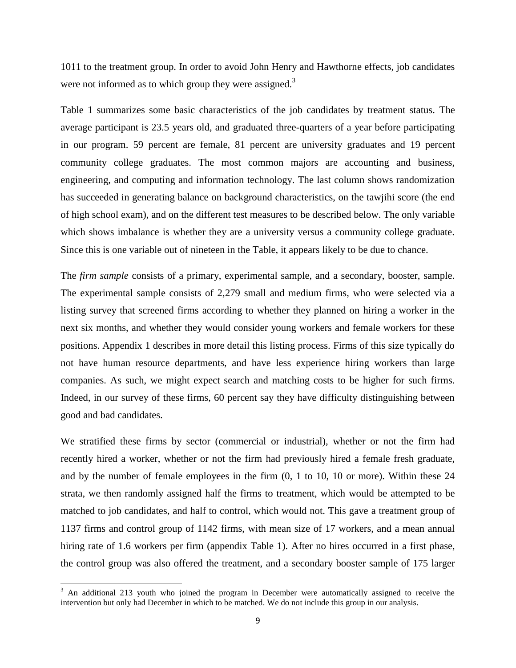1011 to the treatment group. In order to avoid John Henry and Hawthorne effects, job candidates were not informed as to which group they were assigned. $3$ 

Table 1 summarizes some basic characteristics of the job candidates by treatment status. The average participant is 23.5 years old, and graduated three-quarters of a year before participating in our program. 59 percent are female, 81 percent are university graduates and 19 percent community college graduates. The most common majors are accounting and business, engineering, and computing and information technology. The last column shows randomization has succeeded in generating balance on background characteristics, on the tawjihi score (the end of high school exam), and on the different test measures to be described below. The only variable which shows imbalance is whether they are a university versus a community college graduate. Since this is one variable out of nineteen in the Table, it appears likely to be due to chance.

The *firm sample* consists of a primary, experimental sample, and a secondary, booster, sample. The experimental sample consists of 2,279 small and medium firms, who were selected via a listing survey that screened firms according to whether they planned on hiring a worker in the next six months, and whether they would consider young workers and female workers for these positions. Appendix 1 describes in more detail this listing process. Firms of this size typically do not have human resource departments, and have less experience hiring workers than large companies. As such, we might expect search and matching costs to be higher for such firms. Indeed, in our survey of these firms, 60 percent say they have difficulty distinguishing between good and bad candidates.

We stratified these firms by sector (commercial or industrial), whether or not the firm had recently hired a worker, whether or not the firm had previously hired a female fresh graduate, and by the number of female employees in the firm (0, 1 to 10, 10 or more). Within these 24 strata, we then randomly assigned half the firms to treatment, which would be attempted to be matched to job candidates, and half to control, which would not. This gave a treatment group of 1137 firms and control group of 1142 firms, with mean size of 17 workers, and a mean annual hiring rate of 1.6 workers per firm (appendix Table 1). After no hires occurred in a first phase, the control group was also offered the treatment, and a secondary booster sample of 175 larger

 $\overline{\phantom{a}}$ 

 $3$  An additional 213 youth who joined the program in December were automatically assigned to receive the intervention but only had December in which to be matched. We do not include this group in our analysis.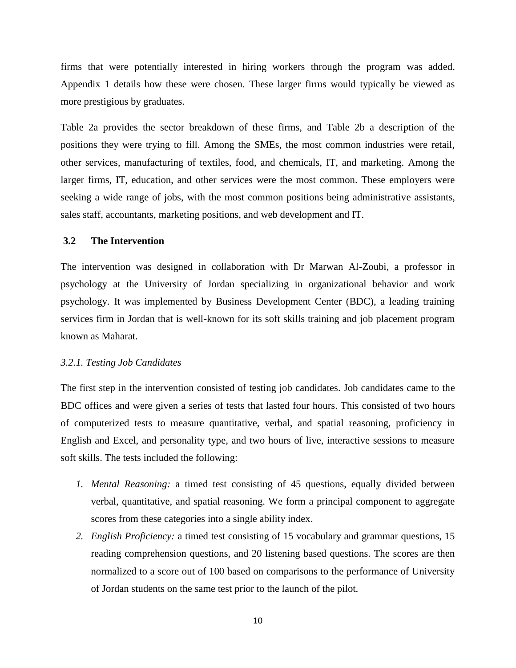firms that were potentially interested in hiring workers through the program was added. Appendix 1 details how these were chosen. These larger firms would typically be viewed as more prestigious by graduates.

Table 2a provides the sector breakdown of these firms, and Table 2b a description of the positions they were trying to fill. Among the SMEs, the most common industries were retail, other services, manufacturing of textiles, food, and chemicals, IT, and marketing. Among the larger firms, IT, education, and other services were the most common. These employers were seeking a wide range of jobs, with the most common positions being administrative assistants, sales staff, accountants, marketing positions, and web development and IT.

### **3.2 The Intervention**

The intervention was designed in collaboration with Dr Marwan Al-Zoubi, a professor in psychology at the University of Jordan specializing in organizational behavior and work psychology. It was implemented by Business Development Center (BDC), a leading training services firm in Jordan that is well-known for its soft skills training and job placement program known as Maharat.

### *3.2.1. Testing Job Candidates*

The first step in the intervention consisted of testing job candidates. Job candidates came to the BDC offices and were given a series of tests that lasted four hours. This consisted of two hours of computerized tests to measure quantitative, verbal, and spatial reasoning, proficiency in English and Excel, and personality type, and two hours of live, interactive sessions to measure soft skills. The tests included the following:

- *1. Mental Reasoning:* a timed test consisting of 45 questions, equally divided between verbal, quantitative, and spatial reasoning. We form a principal component to aggregate scores from these categories into a single ability index.
- *2. English Proficiency:* a timed test consisting of 15 vocabulary and grammar questions, 15 reading comprehension questions, and 20 listening based questions. The scores are then normalized to a score out of 100 based on comparisons to the performance of University of Jordan students on the same test prior to the launch of the pilot.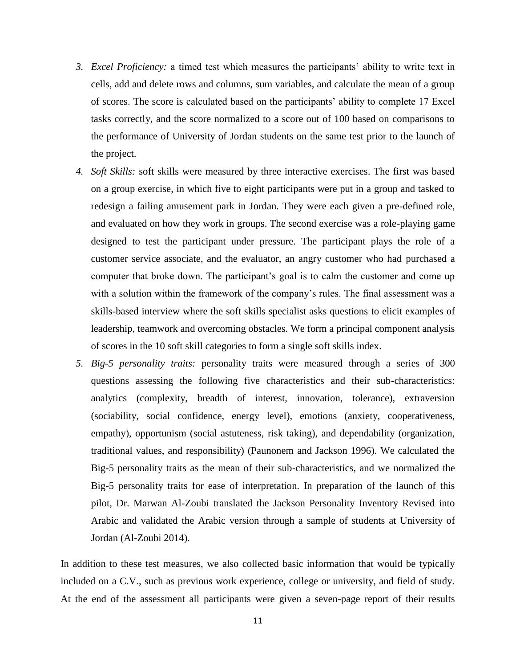- *3. Excel Proficiency:* a timed test which measures the participants' ability to write text in cells, add and delete rows and columns, sum variables, and calculate the mean of a group of scores. The score is calculated based on the participants' ability to complete 17 Excel tasks correctly, and the score normalized to a score out of 100 based on comparisons to the performance of University of Jordan students on the same test prior to the launch of the project.
- *4. Soft Skills:* soft skills were measured by three interactive exercises. The first was based on a group exercise, in which five to eight participants were put in a group and tasked to redesign a failing amusement park in Jordan. They were each given a pre-defined role, and evaluated on how they work in groups. The second exercise was a role-playing game designed to test the participant under pressure. The participant plays the role of a customer service associate, and the evaluator, an angry customer who had purchased a computer that broke down. The participant's goal is to calm the customer and come up with a solution within the framework of the company's rules. The final assessment was a skills-based interview where the soft skills specialist asks questions to elicit examples of leadership, teamwork and overcoming obstacles. We form a principal component analysis of scores in the 10 soft skill categories to form a single soft skills index.
- *5. Big-5 personality traits:* personality traits were measured through a series of 300 questions assessing the following five characteristics and their sub-characteristics: analytics (complexity, breadth of interest, innovation, tolerance), extraversion (sociability, social confidence, energy level), emotions (anxiety, cooperativeness, empathy), opportunism (social astuteness, risk taking), and dependability (organization, traditional values, and responsibility) (Paunonem and Jackson 1996). We calculated the Big-5 personality traits as the mean of their sub-characteristics, and we normalized the Big-5 personality traits for ease of interpretation. In preparation of the launch of this pilot, Dr. Marwan Al-Zoubi translated the Jackson Personality Inventory Revised into Arabic and validated the Arabic version through a sample of students at University of Jordan (Al-Zoubi 2014).

In addition to these test measures, we also collected basic information that would be typically included on a C.V., such as previous work experience, college or university, and field of study. At the end of the assessment all participants were given a seven-page report of their results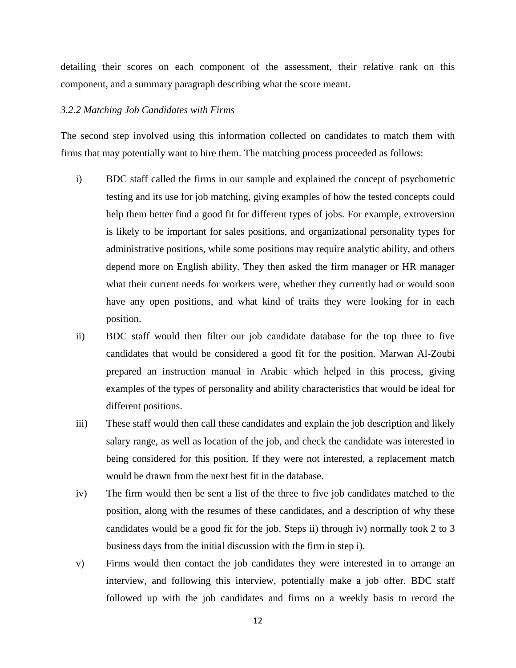detailing their scores on each component of the assessment, their relative rank on this component, and a summary paragraph describing what the score meant.

### *3.2.2 Matching Job Candidates with Firms*

The second step involved using this information collected on candidates to match them with firms that may potentially want to hire them. The matching process proceeded as follows:

- i) BDC staff called the firms in our sample and explained the concept of psychometric testing and its use for job matching, giving examples of how the tested concepts could help them better find a good fit for different types of jobs. For example, extroversion is likely to be important for sales positions, and organizational personality types for administrative positions, while some positions may require analytic ability, and others depend more on English ability. They then asked the firm manager or HR manager what their current needs for workers were, whether they currently had or would soon have any open positions, and what kind of traits they were looking for in each position.
- ii) BDC staff would then filter our job candidate database for the top three to five candidates that would be considered a good fit for the position. Marwan Al-Zoubi prepared an instruction manual in Arabic which helped in this process, giving examples of the types of personality and ability characteristics that would be ideal for different positions.
- iii) These staff would then call these candidates and explain the job description and likely salary range, as well as location of the job, and check the candidate was interested in being considered for this position. If they were not interested, a replacement match would be drawn from the next best fit in the database.
- iv) The firm would then be sent a list of the three to five job candidates matched to the position, along with the resumes of these candidates, and a description of why these candidates would be a good fit for the job. Steps ii) through iv) normally took 2 to 3 business days from the initial discussion with the firm in step i).
- v) Firms would then contact the job candidates they were interested in to arrange an interview, and following this interview, potentially make a job offer. BDC staff followed up with the job candidates and firms on a weekly basis to record the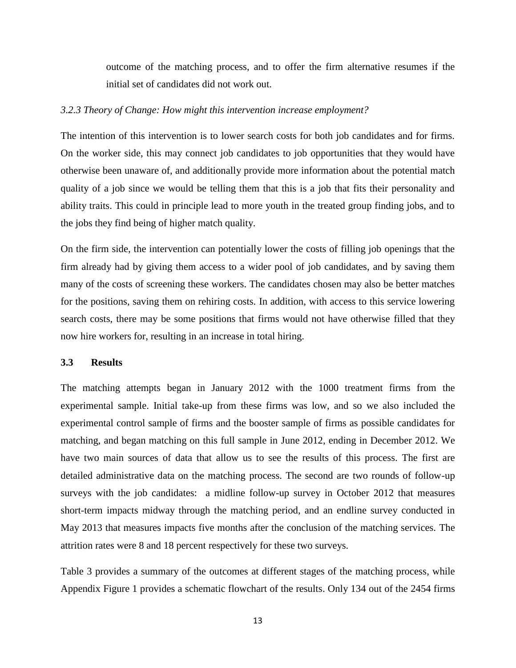outcome of the matching process, and to offer the firm alternative resumes if the initial set of candidates did not work out.

### *3.2.3 Theory of Change: How might this intervention increase employment?*

The intention of this intervention is to lower search costs for both job candidates and for firms. On the worker side, this may connect job candidates to job opportunities that they would have otherwise been unaware of, and additionally provide more information about the potential match quality of a job since we would be telling them that this is a job that fits their personality and ability traits. This could in principle lead to more youth in the treated group finding jobs, and to the jobs they find being of higher match quality.

On the firm side, the intervention can potentially lower the costs of filling job openings that the firm already had by giving them access to a wider pool of job candidates, and by saving them many of the costs of screening these workers. The candidates chosen may also be better matches for the positions, saving them on rehiring costs. In addition, with access to this service lowering search costs, there may be some positions that firms would not have otherwise filled that they now hire workers for, resulting in an increase in total hiring.

### **3.3 Results**

The matching attempts began in January 2012 with the 1000 treatment firms from the experimental sample. Initial take-up from these firms was low, and so we also included the experimental control sample of firms and the booster sample of firms as possible candidates for matching, and began matching on this full sample in June 2012, ending in December 2012. We have two main sources of data that allow us to see the results of this process. The first are detailed administrative data on the matching process. The second are two rounds of follow-up surveys with the job candidates: a midline follow-up survey in October 2012 that measures short-term impacts midway through the matching period, and an endline survey conducted in May 2013 that measures impacts five months after the conclusion of the matching services. The attrition rates were 8 and 18 percent respectively for these two surveys.

Table 3 provides a summary of the outcomes at different stages of the matching process, while Appendix Figure 1 provides a schematic flowchart of the results. Only 134 out of the 2454 firms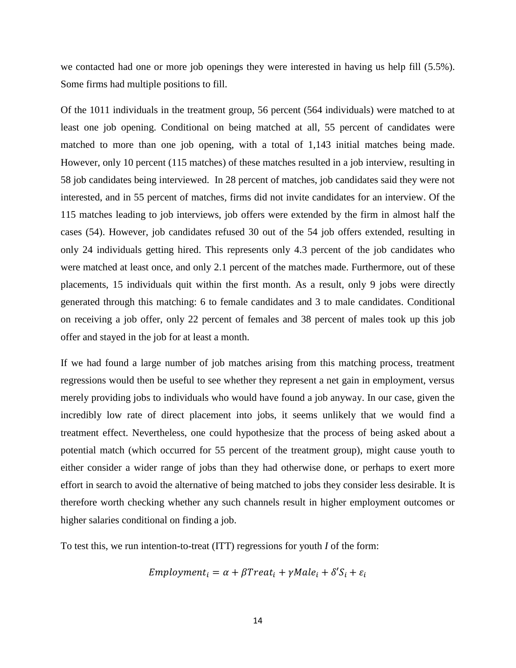we contacted had one or more job openings they were interested in having us help fill (5.5%). Some firms had multiple positions to fill.

Of the 1011 individuals in the treatment group, 56 percent (564 individuals) were matched to at least one job opening. Conditional on being matched at all, 55 percent of candidates were matched to more than one job opening, with a total of 1,143 initial matches being made. However, only 10 percent (115 matches) of these matches resulted in a job interview, resulting in 58 job candidates being interviewed. In 28 percent of matches, job candidates said they were not interested, and in 55 percent of matches, firms did not invite candidates for an interview. Of the 115 matches leading to job interviews, job offers were extended by the firm in almost half the cases (54). However, job candidates refused 30 out of the 54 job offers extended, resulting in only 24 individuals getting hired. This represents only 4.3 percent of the job candidates who were matched at least once, and only 2.1 percent of the matches made. Furthermore, out of these placements, 15 individuals quit within the first month. As a result, only 9 jobs were directly generated through this matching: 6 to female candidates and 3 to male candidates. Conditional on receiving a job offer, only 22 percent of females and 38 percent of males took up this job offer and stayed in the job for at least a month.

If we had found a large number of job matches arising from this matching process, treatment regressions would then be useful to see whether they represent a net gain in employment, versus merely providing jobs to individuals who would have found a job anyway. In our case, given the incredibly low rate of direct placement into jobs, it seems unlikely that we would find a treatment effect. Nevertheless, one could hypothesize that the process of being asked about a potential match (which occurred for 55 percent of the treatment group), might cause youth to either consider a wider range of jobs than they had otherwise done, or perhaps to exert more effort in search to avoid the alternative of being matched to jobs they consider less desirable. It is therefore worth checking whether any such channels result in higher employment outcomes or higher salaries conditional on finding a job.

To test this, we run intention-to-treat (ITT) regressions for youth *I* of the form:

$$
Embloyment_i = \alpha + \beta Treat_i + \gamma Male_i + \delta'S_i + \varepsilon_i
$$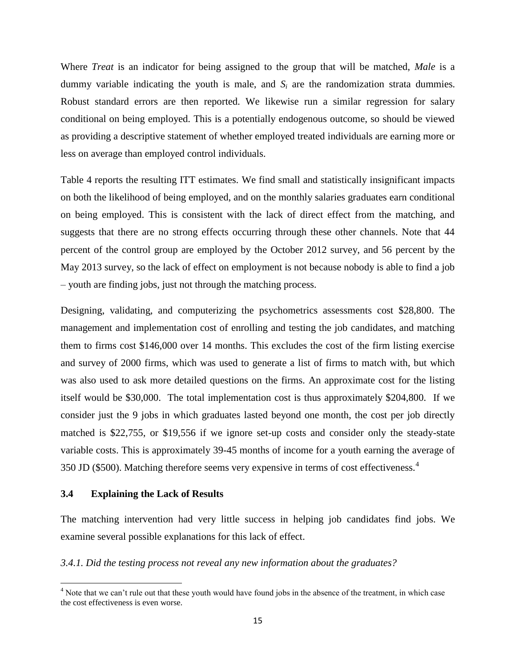Where *Treat* is an indicator for being assigned to the group that will be matched, *Male* is a dummy variable indicating the youth is male, and  $S_i$  are the randomization strata dummies. Robust standard errors are then reported. We likewise run a similar regression for salary conditional on being employed. This is a potentially endogenous outcome, so should be viewed as providing a descriptive statement of whether employed treated individuals are earning more or less on average than employed control individuals.

Table 4 reports the resulting ITT estimates. We find small and statistically insignificant impacts on both the likelihood of being employed, and on the monthly salaries graduates earn conditional on being employed. This is consistent with the lack of direct effect from the matching, and suggests that there are no strong effects occurring through these other channels. Note that 44 percent of the control group are employed by the October 2012 survey, and 56 percent by the May 2013 survey, so the lack of effect on employment is not because nobody is able to find a job – youth are finding jobs, just not through the matching process.

Designing, validating, and computerizing the psychometrics assessments cost \$28,800. The management and implementation cost of enrolling and testing the job candidates, and matching them to firms cost \$146,000 over 14 months. This excludes the cost of the firm listing exercise and survey of 2000 firms, which was used to generate a list of firms to match with, but which was also used to ask more detailed questions on the firms. An approximate cost for the listing itself would be \$30,000. The total implementation cost is thus approximately \$204,800. If we consider just the 9 jobs in which graduates lasted beyond one month, the cost per job directly matched is \$22,755, or \$19,556 if we ignore set-up costs and consider only the steady-state variable costs. This is approximately 39-45 months of income for a youth earning the average of 350 JD (\$500). Matching therefore seems very expensive in terms of cost effectiveness.<sup>4</sup>

### **3.4 Explaining the Lack of Results**

 $\overline{\phantom{a}}$ 

The matching intervention had very little success in helping job candidates find jobs. We examine several possible explanations for this lack of effect.

*3.4.1. Did the testing process not reveal any new information about the graduates?*

 $4$  Note that we can't rule out that these youth would have found jobs in the absence of the treatment, in which case the cost effectiveness is even worse.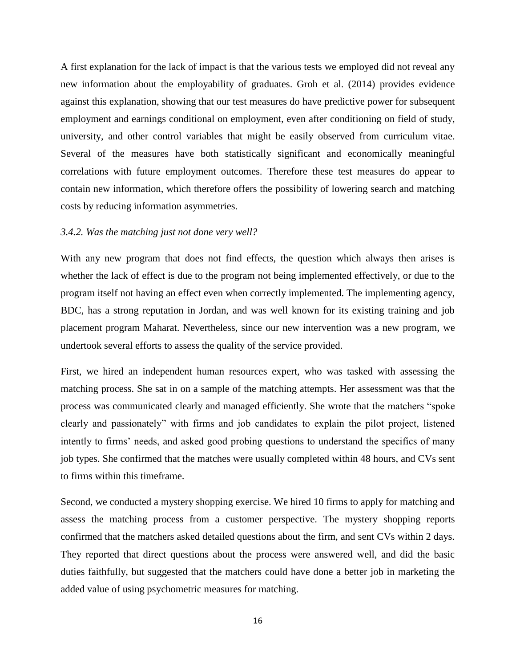A first explanation for the lack of impact is that the various tests we employed did not reveal any new information about the employability of graduates. Groh et al. (2014) provides evidence against this explanation, showing that our test measures do have predictive power for subsequent employment and earnings conditional on employment, even after conditioning on field of study, university, and other control variables that might be easily observed from curriculum vitae. Several of the measures have both statistically significant and economically meaningful correlations with future employment outcomes. Therefore these test measures do appear to contain new information, which therefore offers the possibility of lowering search and matching costs by reducing information asymmetries.

### *3.4.2. Was the matching just not done very well?*

With any new program that does not find effects, the question which always then arises is whether the lack of effect is due to the program not being implemented effectively, or due to the program itself not having an effect even when correctly implemented. The implementing agency, BDC, has a strong reputation in Jordan, and was well known for its existing training and job placement program Maharat. Nevertheless, since our new intervention was a new program, we undertook several efforts to assess the quality of the service provided.

First, we hired an independent human resources expert, who was tasked with assessing the matching process. She sat in on a sample of the matching attempts. Her assessment was that the process was communicated clearly and managed efficiently. She wrote that the matchers "spoke clearly and passionately" with firms and job candidates to explain the pilot project, listened intently to firms' needs, and asked good probing questions to understand the specifics of many job types. She confirmed that the matches were usually completed within 48 hours, and CVs sent to firms within this timeframe.

Second, we conducted a mystery shopping exercise. We hired 10 firms to apply for matching and assess the matching process from a customer perspective. The mystery shopping reports confirmed that the matchers asked detailed questions about the firm, and sent CVs within 2 days. They reported that direct questions about the process were answered well, and did the basic duties faithfully, but suggested that the matchers could have done a better job in marketing the added value of using psychometric measures for matching.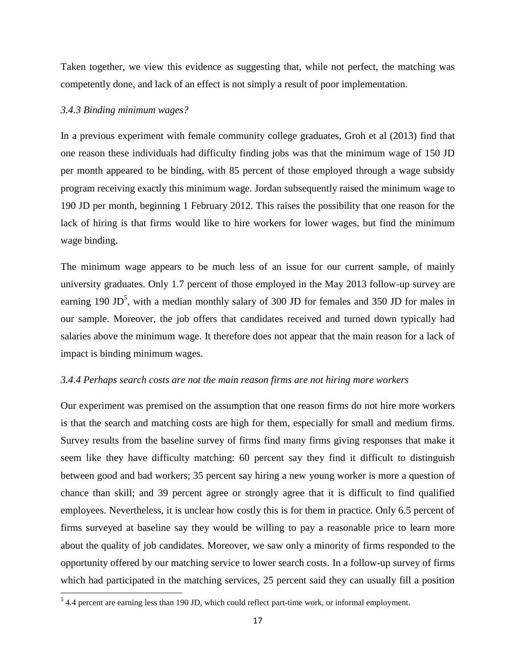Taken together, we view this evidence as suggesting that, while not perfect, the matching was competently done, and lack of an effect is not simply a result of poor implementation.

### *3.4.3 Binding minimum wages?*

In a previous experiment with female community college graduates, Groh et al (2013) find that one reason these individuals had difficulty finding jobs was that the minimum wage of 150 JD per month appeared to be binding, with 85 percent of those employed through a wage subsidy program receiving exactly this minimum wage. Jordan subsequently raised the minimum wage to 190 JD per month, beginning 1 February 2012. This raises the possibility that one reason for the lack of hiring is that firms would like to hire workers for lower wages, but find the minimum wage binding.

The minimum wage appears to be much less of an issue for our current sample, of mainly university graduates. Only 1.7 percent of those employed in the May 2013 follow-up survey are earning 190 JD<sup>5</sup>, with a median monthly salary of 300 JD for females and 350 JD for males in our sample. Moreover, the job offers that candidates received and turned down typically had salaries above the minimum wage. It therefore does not appear that the main reason for a lack of impact is binding minimum wages.

### *3.4.4 Perhaps search costs are not the main reason firms are not hiring more workers*

Our experiment was premised on the assumption that one reason firms do not hire more workers is that the search and matching costs are high for them, especially for small and medium firms. Survey results from the baseline survey of firms find many firms giving responses that make it seem like they have difficulty matching: 60 percent say they find it difficult to distinguish between good and bad workers; 35 percent say hiring a new young worker is more a question of chance than skill; and 39 percent agree or strongly agree that it is difficult to find qualified employees. Nevertheless, it is unclear how costly this is for them in practice. Only 6.5 percent of firms surveyed at baseline say they would be willing to pay a reasonable price to learn more about the quality of job candidates. Moreover, we saw only a minority of firms responded to the opportunity offered by our matching service to lower search costs. In a follow-up survey of firms which had participated in the matching services, 25 percent said they can usually fill a position

<sup>&</sup>lt;sup>5</sup> 4.4 percent are earning less than 190 JD, which could reflect part-time work, or informal employment.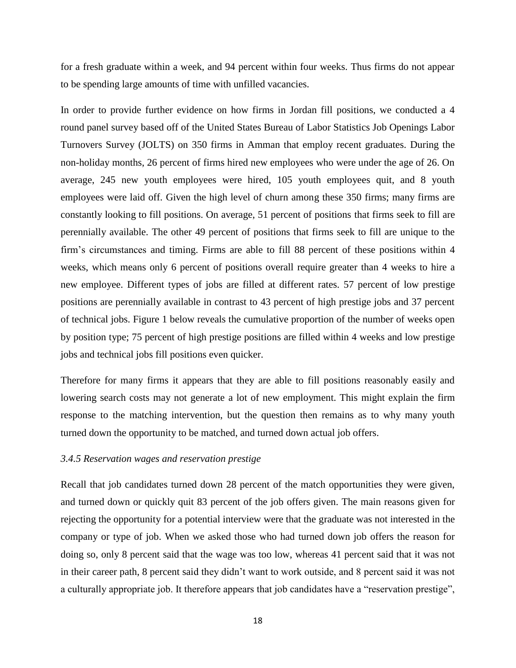for a fresh graduate within a week, and 94 percent within four weeks. Thus firms do not appear to be spending large amounts of time with unfilled vacancies.

In order to provide further evidence on how firms in Jordan fill positions, we conducted a 4 round panel survey based off of the United States Bureau of Labor Statistics Job Openings Labor Turnovers Survey (JOLTS) on 350 firms in Amman that employ recent graduates. During the non-holiday months, 26 percent of firms hired new employees who were under the age of 26. On average, 245 new youth employees were hired, 105 youth employees quit, and 8 youth employees were laid off. Given the high level of churn among these 350 firms; many firms are constantly looking to fill positions. On average, 51 percent of positions that firms seek to fill are perennially available. The other 49 percent of positions that firms seek to fill are unique to the firm's circumstances and timing. Firms are able to fill 88 percent of these positions within 4 weeks, which means only 6 percent of positions overall require greater than 4 weeks to hire a new employee. Different types of jobs are filled at different rates. 57 percent of low prestige positions are perennially available in contrast to 43 percent of high prestige jobs and 37 percent of technical jobs. Figure 1 below reveals the cumulative proportion of the number of weeks open by position type; 75 percent of high prestige positions are filled within 4 weeks and low prestige jobs and technical jobs fill positions even quicker.

Therefore for many firms it appears that they are able to fill positions reasonably easily and lowering search costs may not generate a lot of new employment. This might explain the firm response to the matching intervention, but the question then remains as to why many youth turned down the opportunity to be matched, and turned down actual job offers.

### *3.4.5 Reservation wages and reservation prestige*

Recall that job candidates turned down 28 percent of the match opportunities they were given, and turned down or quickly quit 83 percent of the job offers given. The main reasons given for rejecting the opportunity for a potential interview were that the graduate was not interested in the company or type of job. When we asked those who had turned down job offers the reason for doing so, only 8 percent said that the wage was too low, whereas 41 percent said that it was not in their career path, 8 percent said they didn't want to work outside, and 8 percent said it was not a culturally appropriate job. It therefore appears that job candidates have a "reservation prestige",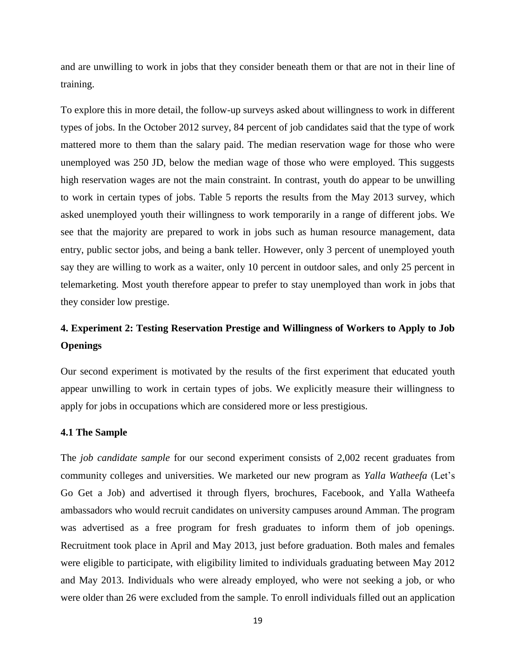and are unwilling to work in jobs that they consider beneath them or that are not in their line of training.

To explore this in more detail, the follow-up surveys asked about willingness to work in different types of jobs. In the October 2012 survey, 84 percent of job candidates said that the type of work mattered more to them than the salary paid. The median reservation wage for those who were unemployed was 250 JD, below the median wage of those who were employed. This suggests high reservation wages are not the main constraint. In contrast, youth do appear to be unwilling to work in certain types of jobs. Table 5 reports the results from the May 2013 survey, which asked unemployed youth their willingness to work temporarily in a range of different jobs. We see that the majority are prepared to work in jobs such as human resource management, data entry, public sector jobs, and being a bank teller. However, only 3 percent of unemployed youth say they are willing to work as a waiter, only 10 percent in outdoor sales, and only 25 percent in telemarketing. Most youth therefore appear to prefer to stay unemployed than work in jobs that they consider low prestige.

# **4. Experiment 2: Testing Reservation Prestige and Willingness of Workers to Apply to Job Openings**

Our second experiment is motivated by the results of the first experiment that educated youth appear unwilling to work in certain types of jobs. We explicitly measure their willingness to apply for jobs in occupations which are considered more or less prestigious.

### **4.1 The Sample**

The *job candidate sample* for our second experiment consists of 2,002 recent graduates from community colleges and universities. We marketed our new program as *Yalla Watheefa* (Let's Go Get a Job) and advertised it through flyers, brochures, Facebook, and Yalla Watheefa ambassadors who would recruit candidates on university campuses around Amman. The program was advertised as a free program for fresh graduates to inform them of job openings. Recruitment took place in April and May 2013, just before graduation. Both males and females were eligible to participate, with eligibility limited to individuals graduating between May 2012 and May 2013. Individuals who were already employed, who were not seeking a job, or who were older than 26 were excluded from the sample. To enroll individuals filled out an application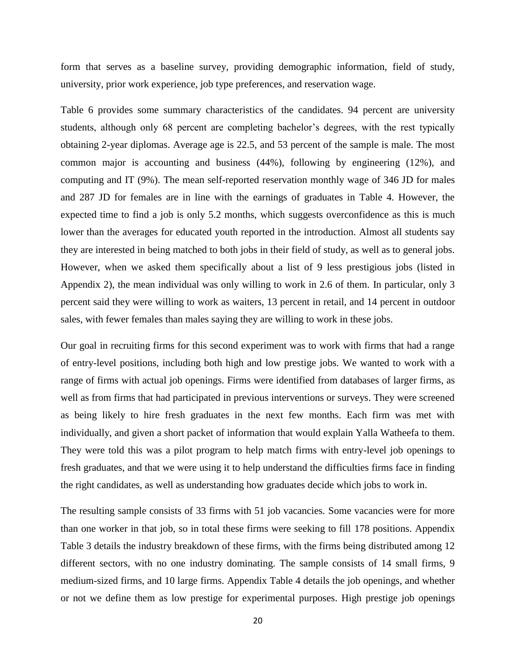form that serves as a baseline survey, providing demographic information, field of study, university, prior work experience, job type preferences, and reservation wage.

Table 6 provides some summary characteristics of the candidates. 94 percent are university students, although only 68 percent are completing bachelor's degrees, with the rest typically obtaining 2-year diplomas. Average age is 22.5, and 53 percent of the sample is male. The most common major is accounting and business (44%), following by engineering (12%), and computing and IT (9%). The mean self-reported reservation monthly wage of 346 JD for males and 287 JD for females are in line with the earnings of graduates in Table 4. However, the expected time to find a job is only 5.2 months, which suggests overconfidence as this is much lower than the averages for educated youth reported in the introduction. Almost all students say they are interested in being matched to both jobs in their field of study, as well as to general jobs. However, when we asked them specifically about a list of 9 less prestigious jobs (listed in Appendix 2), the mean individual was only willing to work in 2.6 of them. In particular, only 3 percent said they were willing to work as waiters, 13 percent in retail, and 14 percent in outdoor sales, with fewer females than males saying they are willing to work in these jobs.

Our goal in recruiting firms for this second experiment was to work with firms that had a range of entry-level positions, including both high and low prestige jobs. We wanted to work with a range of firms with actual job openings. Firms were identified from databases of larger firms, as well as from firms that had participated in previous interventions or surveys. They were screened as being likely to hire fresh graduates in the next few months. Each firm was met with individually, and given a short packet of information that would explain Yalla Watheefa to them. They were told this was a pilot program to help match firms with entry-level job openings to fresh graduates, and that we were using it to help understand the difficulties firms face in finding the right candidates, as well as understanding how graduates decide which jobs to work in.

The resulting sample consists of 33 firms with 51 job vacancies. Some vacancies were for more than one worker in that job, so in total these firms were seeking to fill 178 positions. Appendix Table 3 details the industry breakdown of these firms, with the firms being distributed among 12 different sectors, with no one industry dominating. The sample consists of 14 small firms, 9 medium-sized firms, and 10 large firms. Appendix Table 4 details the job openings, and whether or not we define them as low prestige for experimental purposes. High prestige job openings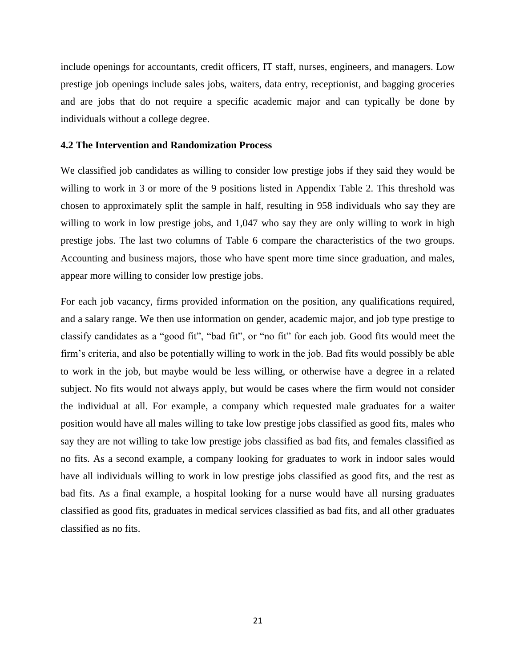include openings for accountants, credit officers, IT staff, nurses, engineers, and managers. Low prestige job openings include sales jobs, waiters, data entry, receptionist, and bagging groceries and are jobs that do not require a specific academic major and can typically be done by individuals without a college degree.

### **4.2 The Intervention and Randomization Process**

We classified job candidates as willing to consider low prestige jobs if they said they would be willing to work in 3 or more of the 9 positions listed in Appendix Table 2. This threshold was chosen to approximately split the sample in half, resulting in 958 individuals who say they are willing to work in low prestige jobs, and 1,047 who say they are only willing to work in high prestige jobs. The last two columns of Table 6 compare the characteristics of the two groups. Accounting and business majors, those who have spent more time since graduation, and males, appear more willing to consider low prestige jobs.

For each job vacancy, firms provided information on the position, any qualifications required, and a salary range. We then use information on gender, academic major, and job type prestige to classify candidates as a "good fit", "bad fit", or "no fit" for each job. Good fits would meet the firm's criteria, and also be potentially willing to work in the job. Bad fits would possibly be able to work in the job, but maybe would be less willing, or otherwise have a degree in a related subject. No fits would not always apply, but would be cases where the firm would not consider the individual at all. For example, a company which requested male graduates for a waiter position would have all males willing to take low prestige jobs classified as good fits, males who say they are not willing to take low prestige jobs classified as bad fits, and females classified as no fits. As a second example, a company looking for graduates to work in indoor sales would have all individuals willing to work in low prestige jobs classified as good fits, and the rest as bad fits. As a final example, a hospital looking for a nurse would have all nursing graduates classified as good fits, graduates in medical services classified as bad fits, and all other graduates classified as no fits.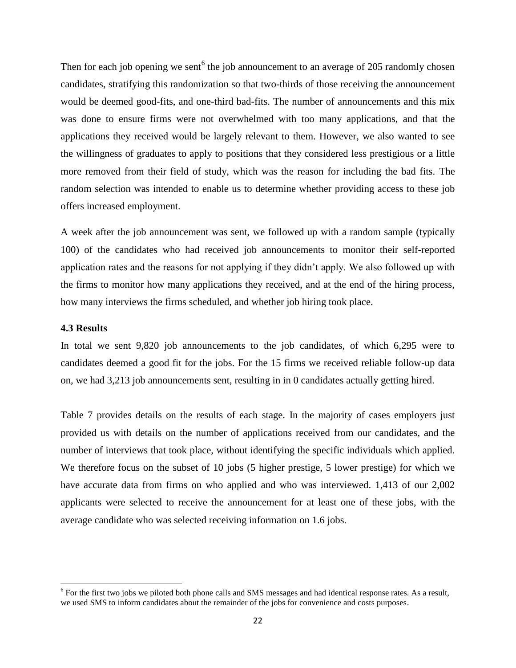Then for each job opening we sent<sup>6</sup> the job announcement to an average of 205 randomly chosen candidates, stratifying this randomization so that two-thirds of those receiving the announcement would be deemed good-fits, and one-third bad-fits. The number of announcements and this mix was done to ensure firms were not overwhelmed with too many applications, and that the applications they received would be largely relevant to them. However, we also wanted to see the willingness of graduates to apply to positions that they considered less prestigious or a little more removed from their field of study, which was the reason for including the bad fits. The random selection was intended to enable us to determine whether providing access to these job offers increased employment.

A week after the job announcement was sent, we followed up with a random sample (typically 100) of the candidates who had received job announcements to monitor their self-reported application rates and the reasons for not applying if they didn't apply. We also followed up with the firms to monitor how many applications they received, and at the end of the hiring process, how many interviews the firms scheduled, and whether job hiring took place.

### **4.3 Results**

 $\overline{\phantom{a}}$ 

In total we sent 9,820 job announcements to the job candidates, of which 6,295 were to candidates deemed a good fit for the jobs. For the 15 firms we received reliable follow-up data on, we had 3,213 job announcements sent, resulting in in 0 candidates actually getting hired.

Table 7 provides details on the results of each stage. In the majority of cases employers just provided us with details on the number of applications received from our candidates, and the number of interviews that took place, without identifying the specific individuals which applied. We therefore focus on the subset of 10 jobs (5 higher prestige, 5 lower prestige) for which we have accurate data from firms on who applied and who was interviewed. 1,413 of our 2,002 applicants were selected to receive the announcement for at least one of these jobs, with the average candidate who was selected receiving information on 1.6 jobs.

<sup>&</sup>lt;sup>6</sup> For the first two jobs we piloted both phone calls and SMS messages and had identical response rates. As a result, we used SMS to inform candidates about the remainder of the jobs for convenience and costs purposes.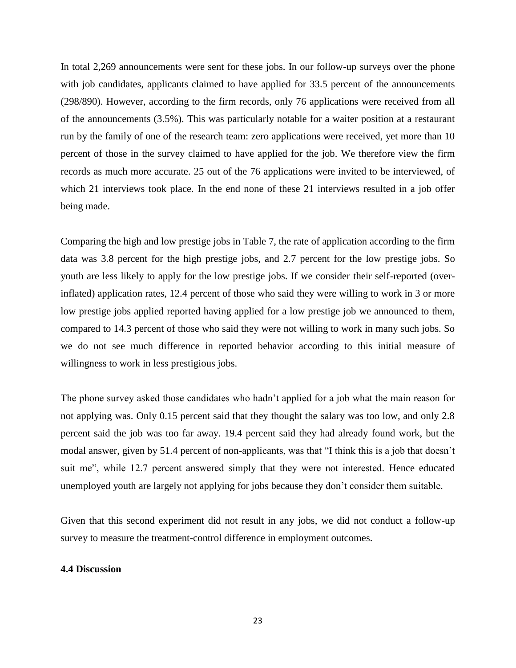In total 2,269 announcements were sent for these jobs. In our follow-up surveys over the phone with job candidates, applicants claimed to have applied for 33.5 percent of the announcements (298/890). However, according to the firm records, only 76 applications were received from all of the announcements (3.5%). This was particularly notable for a waiter position at a restaurant run by the family of one of the research team: zero applications were received, yet more than 10 percent of those in the survey claimed to have applied for the job. We therefore view the firm records as much more accurate. 25 out of the 76 applications were invited to be interviewed, of which 21 interviews took place. In the end none of these 21 interviews resulted in a job offer being made.

Comparing the high and low prestige jobs in Table 7, the rate of application according to the firm data was 3.8 percent for the high prestige jobs, and 2.7 percent for the low prestige jobs. So youth are less likely to apply for the low prestige jobs. If we consider their self-reported (overinflated) application rates, 12.4 percent of those who said they were willing to work in 3 or more low prestige jobs applied reported having applied for a low prestige job we announced to them, compared to 14.3 percent of those who said they were not willing to work in many such jobs. So we do not see much difference in reported behavior according to this initial measure of willingness to work in less prestigious jobs.

The phone survey asked those candidates who hadn't applied for a job what the main reason for not applying was. Only 0.15 percent said that they thought the salary was too low, and only 2.8 percent said the job was too far away. 19.4 percent said they had already found work, but the modal answer, given by 51.4 percent of non-applicants, was that "I think this is a job that doesn't suit me", while 12.7 percent answered simply that they were not interested. Hence educated unemployed youth are largely not applying for jobs because they don't consider them suitable.

Given that this second experiment did not result in any jobs, we did not conduct a follow-up survey to measure the treatment-control difference in employment outcomes.

### **4.4 Discussion**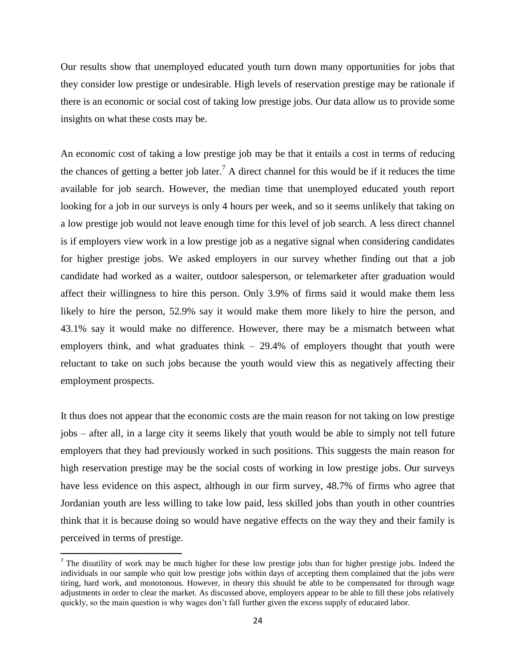Our results show that unemployed educated youth turn down many opportunities for jobs that they consider low prestige or undesirable. High levels of reservation prestige may be rationale if there is an economic or social cost of taking low prestige jobs. Our data allow us to provide some insights on what these costs may be.

An economic cost of taking a low prestige job may be that it entails a cost in terms of reducing the chances of getting a better job later.<sup>7</sup> A direct channel for this would be if it reduces the time available for job search. However, the median time that unemployed educated youth report looking for a job in our surveys is only 4 hours per week, and so it seems unlikely that taking on a low prestige job would not leave enough time for this level of job search. A less direct channel is if employers view work in a low prestige job as a negative signal when considering candidates for higher prestige jobs. We asked employers in our survey whether finding out that a job candidate had worked as a waiter, outdoor salesperson, or telemarketer after graduation would affect their willingness to hire this person. Only 3.9% of firms said it would make them less likely to hire the person, 52.9% say it would make them more likely to hire the person, and 43.1% say it would make no difference. However, there may be a mismatch between what employers think, and what graduates think  $-29.4\%$  of employers thought that youth were reluctant to take on such jobs because the youth would view this as negatively affecting their employment prospects.

It thus does not appear that the economic costs are the main reason for not taking on low prestige jobs – after all, in a large city it seems likely that youth would be able to simply not tell future employers that they had previously worked in such positions. This suggests the main reason for high reservation prestige may be the social costs of working in low prestige jobs. Our surveys have less evidence on this aspect, although in our firm survey, 48.7% of firms who agree that Jordanian youth are less willing to take low paid, less skilled jobs than youth in other countries think that it is because doing so would have negative effects on the way they and their family is perceived in terms of prestige.

 $\overline{a}$ 

<sup>&</sup>lt;sup>7</sup> The disutility of work may be much higher for these low prestige jobs than for higher prestige jobs. Indeed the individuals in our sample who quit low prestige jobs within days of accepting them complained that the jobs were tiring, hard work, and monotonous. However, in theory this should be able to be compensated for through wage adjustments in order to clear the market. As discussed above, employers appear to be able to fill these jobs relatively quickly, so the main question is why wages don't fall further given the excess supply of educated labor.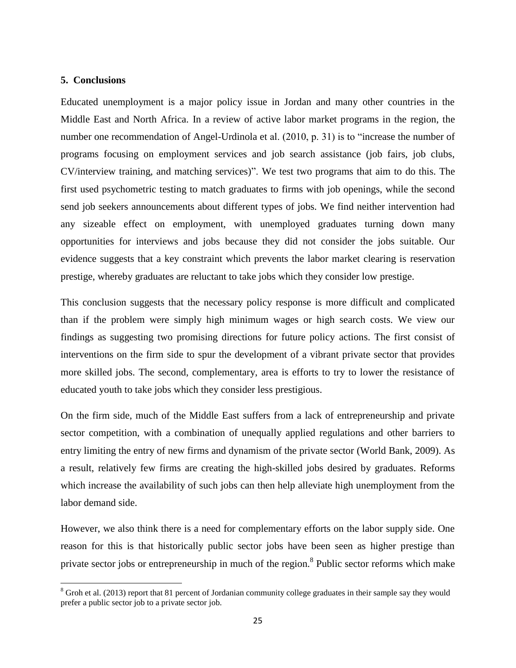### **5. Conclusions**

 $\overline{\phantom{a}}$ 

Educated unemployment is a major policy issue in Jordan and many other countries in the Middle East and North Africa. In a review of active labor market programs in the region, the number one recommendation of Angel-Urdinola et al. (2010, p. 31) is to "increase the number of programs focusing on employment services and job search assistance (job fairs, job clubs, CV/interview training, and matching services)". We test two programs that aim to do this. The first used psychometric testing to match graduates to firms with job openings, while the second send job seekers announcements about different types of jobs. We find neither intervention had any sizeable effect on employment, with unemployed graduates turning down many opportunities for interviews and jobs because they did not consider the jobs suitable. Our evidence suggests that a key constraint which prevents the labor market clearing is reservation prestige, whereby graduates are reluctant to take jobs which they consider low prestige.

This conclusion suggests that the necessary policy response is more difficult and complicated than if the problem were simply high minimum wages or high search costs. We view our findings as suggesting two promising directions for future policy actions. The first consist of interventions on the firm side to spur the development of a vibrant private sector that provides more skilled jobs. The second, complementary, area is efforts to try to lower the resistance of educated youth to take jobs which they consider less prestigious.

On the firm side, much of the Middle East suffers from a lack of entrepreneurship and private sector competition, with a combination of unequally applied regulations and other barriers to entry limiting the entry of new firms and dynamism of the private sector (World Bank, 2009). As a result, relatively few firms are creating the high-skilled jobs desired by graduates. Reforms which increase the availability of such jobs can then help alleviate high unemployment from the labor demand side.

However, we also think there is a need for complementary efforts on the labor supply side. One reason for this is that historically public sector jobs have been seen as higher prestige than private sector jobs or entrepreneurship in much of the region.<sup>8</sup> Public sector reforms which make

<sup>&</sup>lt;sup>8</sup> Groh et al. (2013) report that 81 percent of Jordanian community college graduates in their sample say they would prefer a public sector job to a private sector job.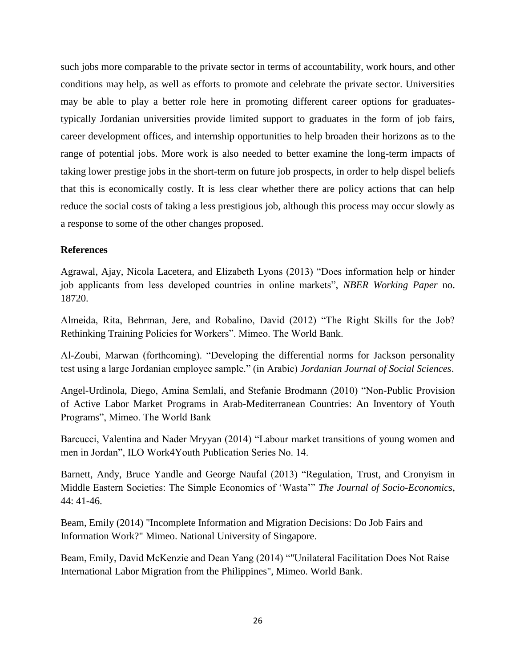such jobs more comparable to the private sector in terms of accountability, work hours, and other conditions may help, as well as efforts to promote and celebrate the private sector. Universities may be able to play a better role here in promoting different career options for graduatestypically Jordanian universities provide limited support to graduates in the form of job fairs, career development offices, and internship opportunities to help broaden their horizons as to the range of potential jobs. More work is also needed to better examine the long-term impacts of taking lower prestige jobs in the short-term on future job prospects, in order to help dispel beliefs that this is economically costly. It is less clear whether there are policy actions that can help reduce the social costs of taking a less prestigious job, although this process may occur slowly as a response to some of the other changes proposed.

### **References**

Agrawal, Ajay, Nicola Lacetera, and Elizabeth Lyons (2013) "Does information help or hinder job applicants from less developed countries in online markets", *NBER Working Paper* no. 18720.

Almeida, Rita, Behrman, Jere, and Robalino, David (2012) "The Right Skills for the Job? Rethinking Training Policies for Workers". Mimeo. The World Bank.

Al-Zoubi, Marwan (forthcoming). "Developing the differential norms for Jackson personality test using a large Jordanian employee sample." (in Arabic) *Jordanian Journal of Social Sciences*.

Angel-Urdinola, Diego, Amina Semlali, and Stefanie Brodmann (2010) "Non-Public Provision of Active Labor Market Programs in Arab-Mediterranean Countries: An Inventory of Youth Programs", Mimeo. The World Bank

Barcucci, Valentina and Nader Mryyan (2014) "Labour market transitions of young women and men in Jordan", ILO Work4Youth Publication Series No. 14.

Barnett, Andy, Bruce Yandle and George Naufal (2013) "Regulation, Trust, and Cronyism in Middle Eastern Societies: The Simple Economics of 'Wasta'" *The Journal of Socio-Economics*, 44: 41-46.

Beam, Emily (2014) "Incomplete Information and Migration Decisions: Do Job Fairs and Information Work?" Mimeo. National University of Singapore.

Beam, Emily, David McKenzie and Dean Yang (2014) ""Unilateral Facilitation Does Not Raise International Labor Migration from the Philippines", Mimeo. World Bank.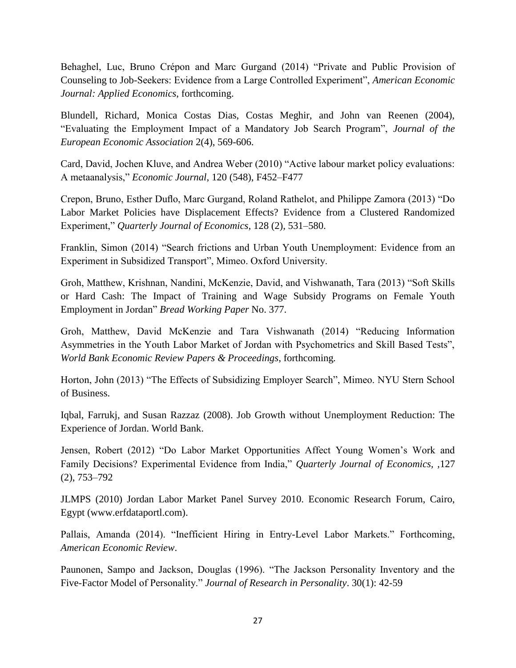Behaghel, Luc, Bruno Crépon and Marc Gurgand (2014) "Private and Public Provision of Counseling to Job-Seekers: Evidence from a Large Controlled Experiment", *American Economic Journal: Applied Economics*, forthcoming.

Blundell, Richard, Monica Costas Dias, Costas Meghir, and John van Reenen (2004), "Evaluating the Employment Impact of a Mandatory Job Search Program", *Journal of the European Economic Association* 2(4), 569-606.

Card, David, Jochen Kluve, and Andrea Weber (2010) "Active labour market policy evaluations: A metaanalysis," *Economic Journal*, 120 (548), F452–F477

Crepon, Bruno, Esther Duflo, Marc Gurgand, Roland Rathelot, and Philippe Zamora (2013) "Do Labor Market Policies have Displacement Effects? Evidence from a Clustered Randomized Experiment," *Quarterly Journal of Economics*, 128 (2), 531–580.

Franklin, Simon (2014) "Search frictions and Urban Youth Unemployment: Evidence from an Experiment in Subsidized Transport", Mimeo. Oxford University.

Groh, Matthew, Krishnan, Nandini, McKenzie, David, and Vishwanath, Tara (2013) "Soft Skills or Hard Cash: The Impact of Training and Wage Subsidy Programs on Female Youth Employment in Jordan" *Bread Working Paper* No. 377.

Groh, Matthew, David McKenzie and Tara Vishwanath (2014) "Reducing Information Asymmetries in the Youth Labor Market of Jordan with Psychometrics and Skill Based Tests", *World Bank Economic Review Papers & Proceedings*, forthcoming*.*

Horton, John (2013) "The Effects of Subsidizing Employer Search", Mimeo. NYU Stern School of Business.

Iqbal, Farrukj, and Susan Razzaz (2008). Job Growth without Unemployment Reduction: The Experience of Jordan. World Bank.

Jensen, Robert (2012) "Do Labor Market Opportunities Affect Young Women's Work and Family Decisions? Experimental Evidence from India," *Quarterly Journal of Economics, ,*127 (2), 753–792

JLMPS (2010) Jordan Labor Market Panel Survey 2010. Economic Research Forum, Cairo, Egypt (www.erfdataportl.com).

Pallais, Amanda (2014). "Inefficient Hiring in Entry-Level Labor Markets." Forthcoming, *American Economic Review*.

Paunonen, Sampo and Jackson, Douglas (1996). "The Jackson Personality Inventory and the Five-Factor Model of Personality." *Journal of Research in Personality*. 30(1): 42-59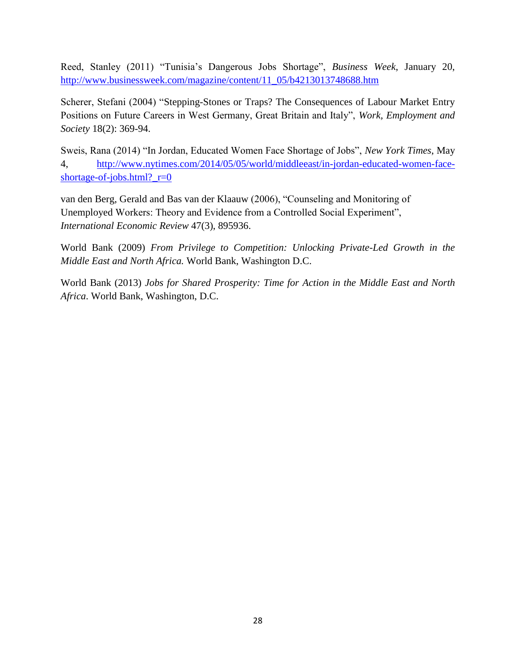Reed, Stanley (2011) "Tunisia's Dangerous Jobs Shortage", *Business Week*, January 20, [http://www.businessweek.com/magazine/content/11\\_05/b4213013748688.htm](http://www.businessweek.com/magazine/content/11_05/b4213013748688.htm)

Scherer, Stefani (2004) "Stepping-Stones or Traps? The Consequences of Labour Market Entry Positions on Future Careers in West Germany, Great Britain and Italy", *Work, Employment and Society* 18(2): 369-94.

Sweis, Rana (2014) "In Jordan, Educated Women Face Shortage of Jobs", *New York Times*, May 4, [http://www.nytimes.com/2014/05/05/world/middleeast/in-jordan-educated-women-face](http://www.nytimes.com/2014/05/05/world/middleeast/in-jordan-educated-women-face-shortage-of-jobs.html?_r=0)[shortage-of-jobs.html?\\_r=0](http://www.nytimes.com/2014/05/05/world/middleeast/in-jordan-educated-women-face-shortage-of-jobs.html?_r=0)

van den Berg, Gerald and Bas van der Klaauw (2006), "Counseling and Monitoring of Unemployed Workers: Theory and Evidence from a Controlled Social Experiment", *International Economic Review* 47(3), 895936.

World Bank (2009) *From Privilege to Competition: Unlocking Private-Led Growth in the Middle East and North Africa.* World Bank, Washington D.C.

World Bank (2013) *Jobs for Shared Prosperity: Time for Action in the Middle East and North Africa*. World Bank, Washington, D.C.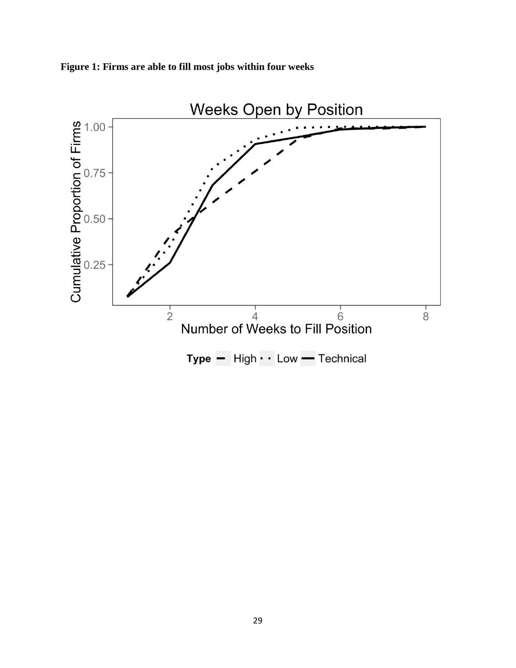

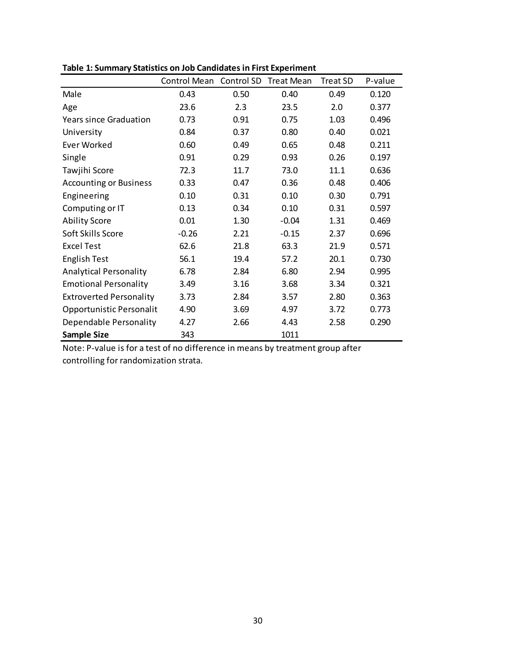|                                | Control Mean | Control SD | Treat Mean | <b>Treat SD</b> | P-value |
|--------------------------------|--------------|------------|------------|-----------------|---------|
| Male                           | 0.43         | 0.50       | 0.40       | 0.49            | 0.120   |
| Age                            | 23.6         | 2.3        | 23.5       | 2.0             | 0.377   |
| <b>Years since Graduation</b>  | 0.73         | 0.91       | 0.75       | 1.03            | 0.496   |
| University                     | 0.84         | 0.37       | 0.80       | 0.40            | 0.021   |
| <b>Fver Worked</b>             | 0.60         | 0.49       | 0.65       | 0.48            | 0.211   |
| Single                         | 0.91         | 0.29       | 0.93       | 0.26            | 0.197   |
| Tawjihi Score                  | 72.3         | 11.7       | 73.0       | 11.1            | 0.636   |
| <b>Accounting or Business</b>  | 0.33         | 0.47       | 0.36       | 0.48            | 0.406   |
| Engineering                    | 0.10         | 0.31       | 0.10       | 0.30            | 0.791   |
| Computing or IT                | 0.13         | 0.34       | 0.10       | 0.31            | 0.597   |
| <b>Ability Score</b>           | 0.01         | 1.30       | $-0.04$    | 1.31            | 0.469   |
| Soft Skills Score              | $-0.26$      | 2.21       | $-0.15$    | 2.37            | 0.696   |
| Excel Test                     | 62.6         | 21.8       | 63.3       | 21.9            | 0.571   |
| English Test                   | 56.1         | 19.4       | 57.2       | 20.1            | 0.730   |
| <b>Analytical Personality</b>  | 6.78         | 2.84       | 6.80       | 2.94            | 0.995   |
| <b>Emotional Personality</b>   | 3.49         | 3.16       | 3.68       | 3.34            | 0.321   |
| <b>Extroverted Personality</b> | 3.73         | 2.84       | 3.57       | 2.80            | 0.363   |
| Opportunistic Personalit       | 4.90         | 3.69       | 4.97       | 3.72            | 0.773   |
| Dependable Personality         | 4.27         | 2.66       | 4.43       | 2.58            | 0.290   |
| <b>Sample Size</b>             | 343          |            | 1011       |                 |         |

**Table 1: Summary Statistics on Job Candidates in First Experiment**

Note: P-value is for a test of no difference in means by treatment group after controlling for randomization strata.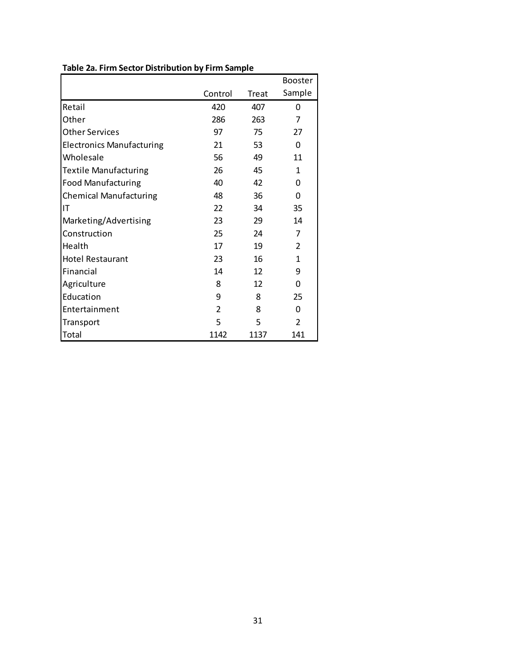|                                  |               |       | <b>Booster</b> |
|----------------------------------|---------------|-------|----------------|
|                                  | Control       | Treat | Sample         |
| Retail                           | 420           | 407   | 0              |
| Other                            | 286           | 263   | 7              |
| <b>Other Services</b>            | 97            | 75    | 27             |
| <b>Electronics Manufacturing</b> | 21            | 53    | 0              |
| Wholesale                        | 56            | 49    | 11             |
| <b>Textile Manufacturing</b>     | 26            | 45    | 1              |
| <b>Food Manufacturing</b>        | 40            | 42    | 0              |
| <b>Chemical Manufacturing</b>    | 48            | 36    | 0              |
| IT                               | 22            | 34    | 35             |
| Marketing/Advertising            | 23            | 29    | 14             |
| Construction                     | 25            | 24    | 7              |
| Health                           | 17            | 19    | $\overline{2}$ |
| <b>Hotel Restaurant</b>          | 23            | 16    | 1              |
| Financial                        | 14            | 12    | 9              |
| Agriculture                      | 8             | 12    | 0              |
| Education                        | 9             | 8     | 25             |
| Entertainment                    | $\mathcal{P}$ | 8     | $\Omega$       |
| Transport                        | 5             | 5     | $\overline{2}$ |
| Total                            | 1142          | 1137  | 141            |

### **Table 2a. Firm Sector Distribution by Firm Sample**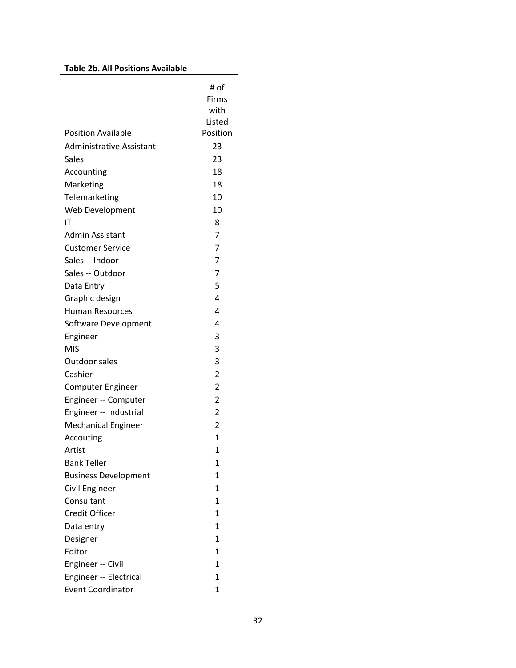### **Table 2b. All Positions Available**

|                                 | # of         |
|---------------------------------|--------------|
|                                 | Firms        |
|                                 | with         |
|                                 | Listed       |
| <b>Position Available</b>       | Position     |
| <b>Administrative Assistant</b> | 23           |
| Sales                           | 23           |
| Accounting                      | 18           |
| Marketing                       | 18           |
| Telemarketing                   | 10           |
| Web Development                 | 10           |
| ΙT                              | 8            |
| Admin Assistant                 | 7            |
| <b>Customer Service</b>         | 7            |
| Sales -- Indoor                 | 7            |
| Sales -- Outdoor                | 7            |
| Data Entry                      | 5            |
| Graphic design                  | 4            |
| <b>Human Resources</b>          | 4            |
| Software Development            | 4            |
| Engineer                        | 3            |
| <b>MIS</b>                      | 3            |
| <b>Outdoor sales</b>            | 3            |
| Cashier                         | 2            |
| Computer Engineer               | 2            |
| Engineer -- Computer            | 2            |
| Engineer -- Industrial          | 2            |
| <b>Mechanical Engineer</b>      | 2            |
| Accouting                       | 1            |
| Artist                          | 1            |
| <b>Bank Teller</b>              | 1            |
| <b>Business Development</b>     | 1            |
| Civil Engineer                  | 1            |
| Consultant                      | 1            |
| <b>Credit Officer</b>           | 1            |
| Data entry                      | 1            |
| Designer                        | $\mathbf{1}$ |
| Editor                          | 1            |
| Engineer -- Civil               | 1            |
| Engineer -- Electrical          | 1            |
| <b>Event Coordinator</b>        | 1            |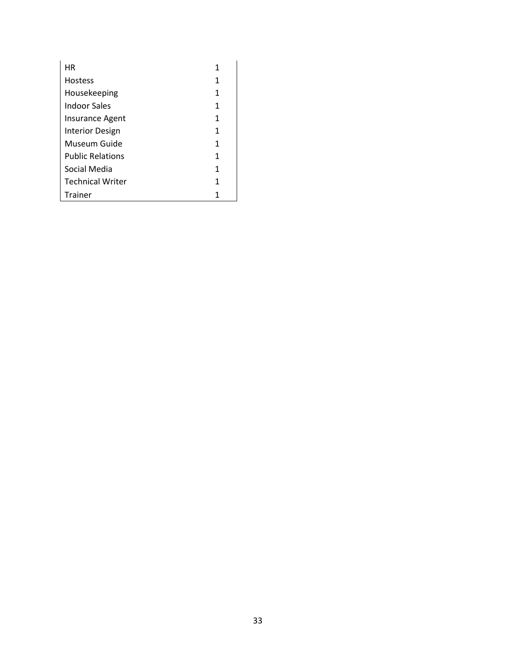| ΗR                      |   |
|-------------------------|---|
| <b>Hostess</b>          | 1 |
| Housekeeping            | 1 |
| Indoor Sales            | 1 |
| Insurance Agent         | 1 |
| Interior Design         | 1 |
| Museum Guide            | 1 |
| <b>Public Relations</b> | 1 |
| Social Media            | 1 |
| <b>Technical Writer</b> | 1 |
| Trainer                 |   |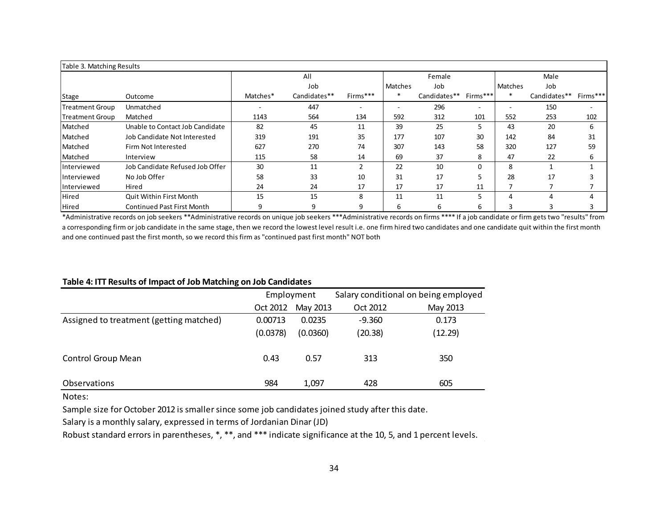| Table 3. Matching Results |                                   |          |              |          |                          |              |          |                |              |          |
|---------------------------|-----------------------------------|----------|--------------|----------|--------------------------|--------------|----------|----------------|--------------|----------|
|                           |                                   |          | All          |          |                          | Female       |          |                | Male         |          |
|                           |                                   |          | Job          |          | Matches                  | Job          |          | <b>Matches</b> | Job          |          |
| <b>Stage</b>              | Outcome                           | Matches* | Candidates** | Firms*** | $\ast$                   | Candidates** | Firms*** |                | Candidates** | Firms*** |
| <b>Treatment Group</b>    | Unmatched                         |          | 447          |          | $\overline{\phantom{0}}$ | 296          |          | -              | 150          |          |
| <b>Treatment Group</b>    | Matched                           | 1143     | 564          | 134      | 592                      | 312          | 101      | 552            | 253          | 102      |
| Matched                   | Unable to Contact Job Candidate   | 82       | 45           | 11       | 39                       | 25           |          | 43             | 20           | 6        |
| Matched                   | Job Candidate Not Interested      | 319      | 191          | 35       | 177                      | 107          | 30       | 142            | 84           | 31       |
| Matched                   | Firm Not Interested               | 627      | 270          | 74       | 307                      | 143          | 58       | 320            | 127          | 59       |
| Matched                   | Interview                         | 115      | 58           | 14       | 69                       | 37           | 8        | 47             | 22           | 6        |
| Interviewed               | Job Candidate Refused Job Offer   | 30       | 11           |          | 22                       | 10           |          | 8              |              |          |
| Interviewed               | No Job Offer                      | 58       | 33           | 10       | 31                       | 17           |          | 28             | 17           |          |
| Interviewed               | Hired                             | 24       | 24           | 17       | 17                       | 17           | 11       | ⇁              |              |          |
| Hired                     | Quit Within First Month           | 15       | 15           | 8        | 11                       | 11           |          | 4              | 4            | 4        |
| <b>Hired</b>              | <b>Continued Past First Month</b> | 9        | 9            | 9        | 6                        | 6            | ь        | 3              | э            |          |

\*Administrative records on job seekers \*\*Administrative records on unique job seekers \*\*\*Administrative records on firms \*\*\*\* If a job candidate or firm gets two "results" from a corresponding firm or job candidate in the same stage, then we record the lowest level result i.e. one firm hired two candidates and one candidate quit within the first month and one continued past the first month, so we record this firm as "continued past first month" NOT both

#### **Table 4: ITT Results of Impact of Job Matching on Job Candidates**

|                                         | Employment |          |          | Salary conditional on being employed |
|-----------------------------------------|------------|----------|----------|--------------------------------------|
|                                         | Oct 2012   | May 2013 | Oct 2012 | May 2013                             |
| Assigned to treatment (getting matched) | 0.00713    | 0.0235   | $-9.360$ | 0.173                                |
|                                         | (0.0378)   | (0.0360) | (20.38)  | (12.29)                              |
| <b>Control Group Mean</b>               | 0.43       | 0.57     | 313      | 350                                  |
| <b>Observations</b>                     | 984        | 1,097    | 428      | 605                                  |

Notes:

Sample size for October 2012 is smaller since some job candidates joined study after this date.

Salary is a monthly salary, expressed in terms of Jordanian Dinar (JD)

Robust standard errors in parentheses, \*, \*\*, and \*\*\* indicate significance at the 10, 5, and 1 percent levels.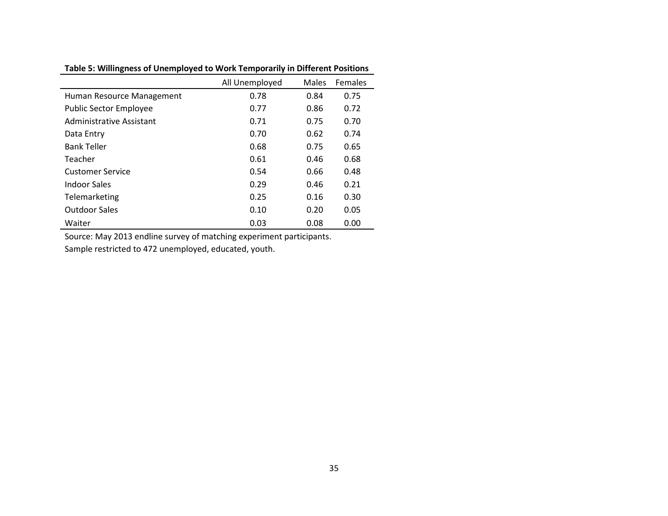|                               | All Unemployed | Males | <b>Females</b> |
|-------------------------------|----------------|-------|----------------|
| Human Resource Management     | 0.78           | 0.84  | 0.75           |
| <b>Public Sector Employee</b> | 0.77           | 0.86  | 0.72           |
| Administrative Assistant      | 0.71           | 0.75  | 0.70           |
| Data Entry                    | 0.70           | 0.62  | 0.74           |
| <b>Bank Teller</b>            | 0.68           | 0.75  | 0.65           |
| Teacher                       | 0.61           | 0.46  | 0.68           |
| <b>Customer Service</b>       | 0.54           | 0.66  | 0.48           |
| Indoor Sales                  | 0.29           | 0.46  | 0.21           |
| Telemarketing                 | 0.25           | 0.16  | 0.30           |
| <b>Outdoor Sales</b>          | 0.10           | 0.20  | 0.05           |
| Waiter                        | 0.03           | 0.08  | 0.00           |

**Table 5: Willingness of Unemployed to Work Temporarily in Different Positions**

Source: May 2013 endline survey of matching experiment participants.

Sample restricted to 472 unemployed, educated, youth.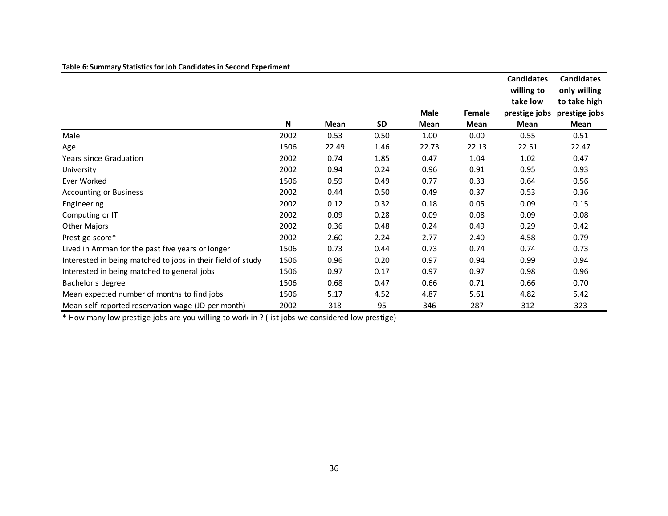| Table 6: Summary Statistics for Job Candidates in Second Experiment |      |       |           |       |        |                                             |                                                   |
|---------------------------------------------------------------------|------|-------|-----------|-------|--------|---------------------------------------------|---------------------------------------------------|
|                                                                     |      |       |           |       |        | <b>Candidates</b><br>willing to<br>take low | <b>Candidates</b><br>only willing<br>to take high |
|                                                                     |      |       |           | Male  | Female | prestige jobs                               | prestige jobs                                     |
|                                                                     | N    | Mean  | <b>SD</b> | Mean  | Mean   | <b>Mean</b>                                 | Mean                                              |
| Male                                                                | 2002 | 0.53  | 0.50      | 1.00  | 0.00   | 0.55                                        | 0.51                                              |
| Age                                                                 | 1506 | 22.49 | 1.46      | 22.73 | 22.13  | 22.51                                       | 22.47                                             |
| <b>Years since Graduation</b>                                       | 2002 | 0.74  | 1.85      | 0.47  | 1.04   | 1.02                                        | 0.47                                              |
| University                                                          | 2002 | 0.94  | 0.24      | 0.96  | 0.91   | 0.95                                        | 0.93                                              |
| Ever Worked                                                         | 1506 | 0.59  | 0.49      | 0.77  | 0.33   | 0.64                                        | 0.56                                              |
| <b>Accounting or Business</b>                                       | 2002 | 0.44  | 0.50      | 0.49  | 0.37   | 0.53                                        | 0.36                                              |
| Engineering                                                         | 2002 | 0.12  | 0.32      | 0.18  | 0.05   | 0.09                                        | 0.15                                              |
| Computing or IT                                                     | 2002 | 0.09  | 0.28      | 0.09  | 0.08   | 0.09                                        | 0.08                                              |
| Other Majors                                                        | 2002 | 0.36  | 0.48      | 0.24  | 0.49   | 0.29                                        | 0.42                                              |
| Prestige score*                                                     | 2002 | 2.60  | 2.24      | 2.77  | 2.40   | 4.58                                        | 0.79                                              |
| Lived in Amman for the past five years or longer                    | 1506 | 0.73  | 0.44      | 0.73  | 0.74   | 0.74                                        | 0.73                                              |
| Interested in being matched to jobs in their field of study         | 1506 | 0.96  | 0.20      | 0.97  | 0.94   | 0.99                                        | 0.94                                              |
| Interested in being matched to general jobs                         | 1506 | 0.97  | 0.17      | 0.97  | 0.97   | 0.98                                        | 0.96                                              |
| Bachelor's degree                                                   | 1506 | 0.68  | 0.47      | 0.66  | 0.71   | 0.66                                        | 0.70                                              |
| Mean expected number of months to find jobs                         | 1506 | 5.17  | 4.52      | 4.87  | 5.61   | 4.82                                        | 5.42                                              |
| Mean self-reported reservation wage (JD per month)                  | 2002 | 318   | 95        | 346   | 287    | 312                                         | 323                                               |

\* How many low prestige jobs are you willing to work in ? (list jobs we considered low prestige)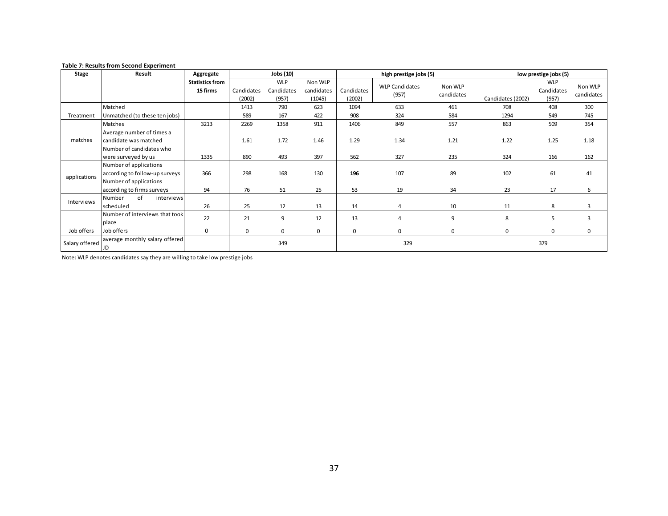#### **Table 7: Results from Second Experiment**

| <b>Stage</b>   | Result                                                                                                | Aggregate                          |                      | Jobs (10)                         |                                 |                      | high prestige jobs (5)         |                       | low prestige jobs (5) |                                   |                       |
|----------------|-------------------------------------------------------------------------------------------------------|------------------------------------|----------------------|-----------------------------------|---------------------------------|----------------------|--------------------------------|-----------------------|-----------------------|-----------------------------------|-----------------------|
|                |                                                                                                       | <b>Statistics from</b><br>15 firms | Candidates<br>(2002) | <b>WLP</b><br>Candidates<br>(957) | Non WLP<br>candidates<br>(1045) | Candidates<br>(2002) | <b>WLP Candidates</b><br>(957) | Non WLP<br>candidates | Candidates (2002)     | <b>WLP</b><br>Candidates<br>(957) | Non WLP<br>candidates |
|                | Matched                                                                                               |                                    | 1413                 | 790                               | 623                             | 1094                 | 633                            | 461                   | 708                   | 408                               | 300                   |
| Treatment      | Unmatched (to these ten jobs)                                                                         |                                    | 589                  | 167                               | 422                             | 908                  | 324                            | 584                   | 1294                  | 549                               | 745                   |
|                | Matches                                                                                               | 3213                               | 2269                 | 1358                              | 911                             | 1406                 | 849                            | 557                   | 863                   | 509                               | 354                   |
| matches        | Average number of times a<br>candidate was matched<br>Number of candidates who<br>were surveyed by us | 1335                               | 1.61<br>890          | 1.72<br>493                       | 1.46<br>397                     | 1.29<br>562          | 1.34<br>327                    | 1.21<br>235           | 1.22<br>324           | 1.25<br>166                       | 1.18<br>162           |
|                | Number of applications                                                                                |                                    |                      |                                   |                                 |                      |                                |                       |                       |                                   |                       |
|                | according to follow-up surveys                                                                        | 366                                | 298                  | 168                               | 130                             | 196                  | 107                            | 89                    | 102                   | 61                                | 41                    |
| applications   | Number of applications<br>according to firms surveys                                                  | 94                                 | 76                   | 51                                | 25                              | 53                   | 19                             | 34                    | 23                    | 17                                | 6                     |
| Interviews     | of<br>interviews<br>Number                                                                            |                                    |                      |                                   |                                 |                      |                                |                       |                       |                                   |                       |
|                | scheduled                                                                                             | 26                                 | 25                   | 12                                | 13                              | 14                   | 4                              | 10                    | 11                    | 8                                 | 3                     |
|                | Number of interviews that took<br>place                                                               | 22                                 | 21                   | 9                                 | 12                              | 13                   | 4                              | 9                     | 8                     | 5                                 | 3                     |
| Job offers     | Job offers                                                                                            | $\mathbf 0$                        | $\mathbf 0$          | $\mathbf 0$                       | $\mathbf 0$                     | $\mathbf 0$          | $\mathbf 0$                    | $\Omega$              | $\Omega$              | $\mathbf 0$                       | $\mathbf 0$           |
| Salary offered | average monthly salary offered<br>JD                                                                  |                                    |                      | 349                               |                                 |                      | 329                            |                       |                       | 379                               |                       |

Note: WLP denotes candidates say they are willing to take low prestige jobs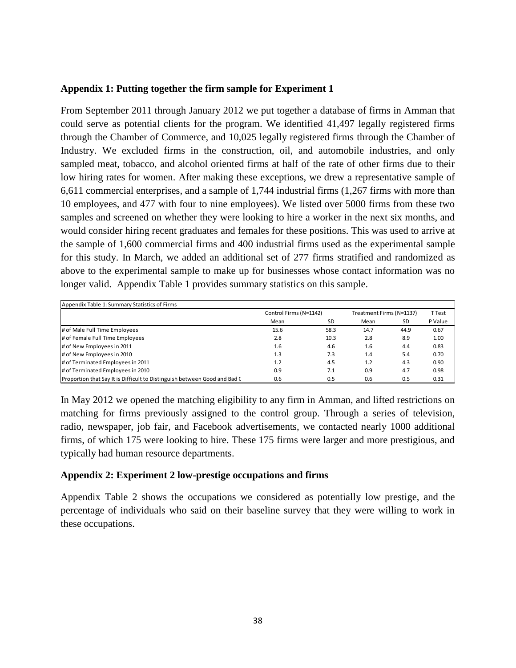### **Appendix 1: Putting together the firm sample for Experiment 1**

From September 2011 through January 2012 we put together a database of firms in Amman that could serve as potential clients for the program. We identified 41,497 legally registered firms through the Chamber of Commerce, and 10,025 legally registered firms through the Chamber of Industry. We excluded firms in the construction, oil, and automobile industries, and only sampled meat, tobacco, and alcohol oriented firms at half of the rate of other firms due to their low hiring rates for women. After making these exceptions, we drew a representative sample of 6,611 commercial enterprises, and a sample of 1,744 industrial firms (1,267 firms with more than 10 employees, and 477 with four to nine employees). We listed over 5000 firms from these two samples and screened on whether they were looking to hire a worker in the next six months, and would consider hiring recent graduates and females for these positions. This was used to arrive at the sample of 1,600 commercial firms and 400 industrial firms used as the experimental sample for this study. In March, we added an additional set of 277 firms stratified and randomized as above to the experimental sample to make up for businesses whose contact information was no longer valid. Appendix Table 1 provides summary statistics on this sample.

| Appendix Table 1: Summary Statistics of Firms                             |                        |           |                          |      |         |  |
|---------------------------------------------------------------------------|------------------------|-----------|--------------------------|------|---------|--|
|                                                                           | Control Firms (N=1142) |           | Treatment Firms (N=1137) |      | T Test  |  |
|                                                                           | Mean                   | <b>SD</b> | Mean                     | SD   | P Value |  |
| # of Male Full Time Employees                                             | 15.6                   | 58.3      | 14.7                     | 44.9 | 0.67    |  |
| # of Female Full Time Employees                                           | 2.8                    | 10.3      | 2.8                      | 8.9  | 1.00    |  |
| # of New Employees in 2011                                                | 1.6                    | 4.6       | 1.6                      | 4.4  | 0.83    |  |
| # of New Employees in 2010                                                | 1.3                    | 7.3       | 1.4                      | 5.4  | 0.70    |  |
| # of Terminated Employees in 2011                                         | 1.2                    | 4.5       | 1.2                      | 4.3  | 0.90    |  |
| # of Terminated Employees in 2010                                         | 0.9                    | 7.1       | 0.9                      | 4.7  | 0.98    |  |
| Proportion that Say It is Difficult to Distinguish between Good and Bad ( | 0.6                    | 0.5       | 0.6                      | 0.5  | 0.31    |  |

In May 2012 we opened the matching eligibility to any firm in Amman, and lifted restrictions on matching for firms previously assigned to the control group. Through a series of television, radio, newspaper, job fair, and Facebook advertisements, we contacted nearly 1000 additional firms, of which 175 were looking to hire. These 175 firms were larger and more prestigious, and typically had human resource departments.

### **Appendix 2: Experiment 2 low-prestige occupations and firms**

Appendix Table 2 shows the occupations we considered as potentially low prestige, and the percentage of individuals who said on their baseline survey that they were willing to work in these occupations.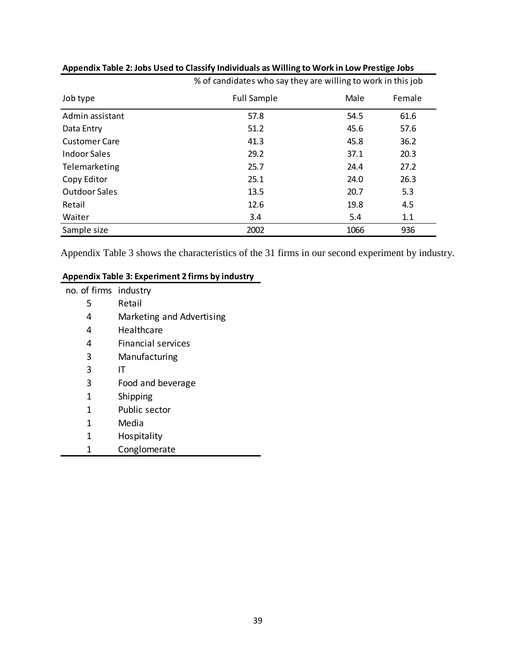|                      | % of candidates who say they are willing to work in this job |      |        |  |  |
|----------------------|--------------------------------------------------------------|------|--------|--|--|
| Job type             | <b>Full Sample</b>                                           | Male | Female |  |  |
| Admin assistant      | 57.8                                                         | 54.5 | 61.6   |  |  |
| Data Entry           | 51.2                                                         | 45.6 | 57.6   |  |  |
| <b>Customer Care</b> | 41.3                                                         | 45.8 | 36.2   |  |  |
| Indoor Sales         | 29.2                                                         | 37.1 | 20.3   |  |  |
| Telemarketing        | 25.7                                                         | 24.4 | 27.2   |  |  |
| Copy Editor          | 25.1                                                         | 24.0 | 26.3   |  |  |
| <b>Outdoor Sales</b> | 13.5                                                         | 20.7 | 5.3    |  |  |
| Retail               | 12.6                                                         | 19.8 | 4.5    |  |  |
| Waiter               | 3.4                                                          | 5.4  | 1.1    |  |  |
| Sample size          | 2002                                                         | 1066 | 936    |  |  |

### **Appendix Table 2: Jobs Used to Classify Individuals as Willing to Work in Low Prestige Jobs**

Appendix Table 3 shows the characteristics of the 31 firms in our second experiment by industry.

### **Appendix Table 3: Experiment 2 firms by industry**

| no. of firms industry |                           |
|-----------------------|---------------------------|
| 5                     | Retail                    |
| 4                     | Marketing and Advertising |
| 4                     | Healthcare                |
| 4                     | <b>Financial services</b> |
| 3                     | Manufacturing             |
| 3                     | IΤ                        |
| 3                     | Food and beverage         |
| 1                     | Shipping                  |
| 1                     | Public sector             |
| 1                     | Media                     |
| 1                     | <b>Hospitality</b>        |
| 1                     | Conglomerate              |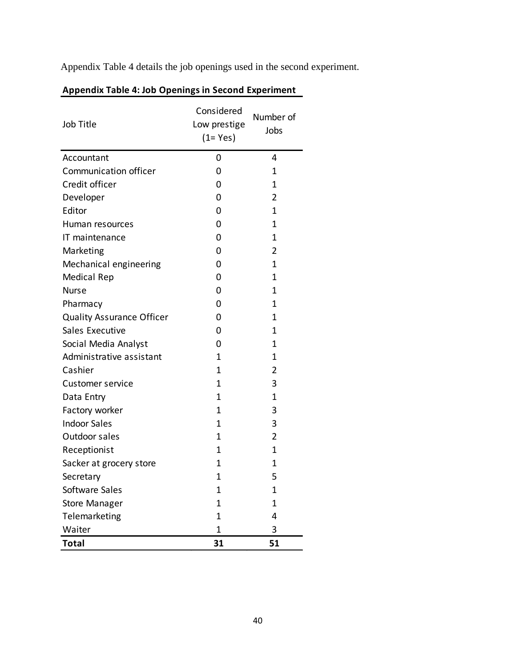Appendix Table 4 details the job openings used in the second experiment.

| Job Title                        | Considered<br>Low prestige<br>$(1 = Yes)$ | Number of<br>Jobs |
|----------------------------------|-------------------------------------------|-------------------|
| Accountant                       | 0                                         | 4                 |
| Communication officer            | 0                                         | 1                 |
| Credit officer                   | 0                                         | 1                 |
| Developer                        | 0                                         | 2                 |
| Editor                           | 0                                         | 1                 |
| Human resources                  | 0                                         | 1                 |
| IT maintenance                   | 0                                         | 1                 |
| Marketing                        | 0                                         | $\overline{2}$    |
| Mechanical engineering           | 0                                         | 1                 |
| <b>Medical Rep</b>               | 0                                         | $\mathbf 1$       |
| <b>Nurse</b>                     | 0                                         | 1                 |
| Pharmacy                         | 0                                         | 1                 |
| <b>Quality Assurance Officer</b> | 0                                         | 1                 |
| <b>Sales Executive</b>           | 0                                         | 1                 |
| Social Media Analyst             | 0                                         | 1                 |
| Administrative assistant         | 1                                         | 1                 |
| Cashier                          | 1                                         | 2                 |
| <b>Customer service</b>          | 1                                         | 3                 |
| Data Entry                       | 1                                         | 1                 |
| Factory worker                   | 1                                         | 3                 |
| <b>Indoor Sales</b>              | 1                                         | 3                 |
| Outdoor sales                    | 1                                         | 2                 |
| Receptionist                     | 1                                         | $\mathbf 1$       |
| Sacker at grocery store          | 1                                         | 1                 |
| Secretary                        | 1                                         | 5                 |
| Software Sales                   | 1                                         | 1                 |
| <b>Store Manager</b>             | 1                                         | 1                 |
| Telemarketing                    | 1                                         | 4                 |
| Waiter                           | $\mathbf{1}$                              | 3                 |
| <b>Total</b>                     | 31                                        | 51                |

# **Appendix Table 4: Job Openings in Second Experiment**